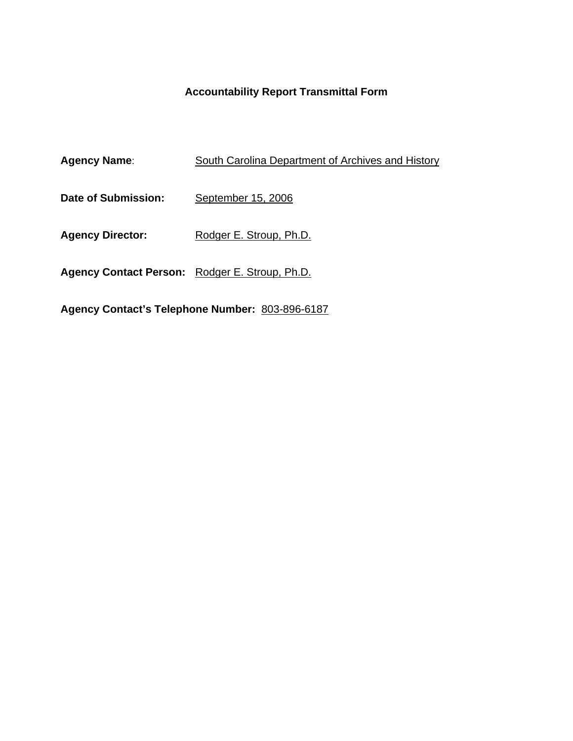# **Accountability Report Transmittal Form**

| <b>Agency Name:</b>                            | South Carolina Department of Archives and History |
|------------------------------------------------|---------------------------------------------------|
| Date of Submission:                            | September 15, 2006                                |
| <b>Agency Director:</b>                        | Rodger E. Stroup, Ph.D.                           |
| Agency Contact Person: Rodger E. Stroup, Ph.D. |                                                   |

**Agency Contact's Telephone Number:** 803-896-6187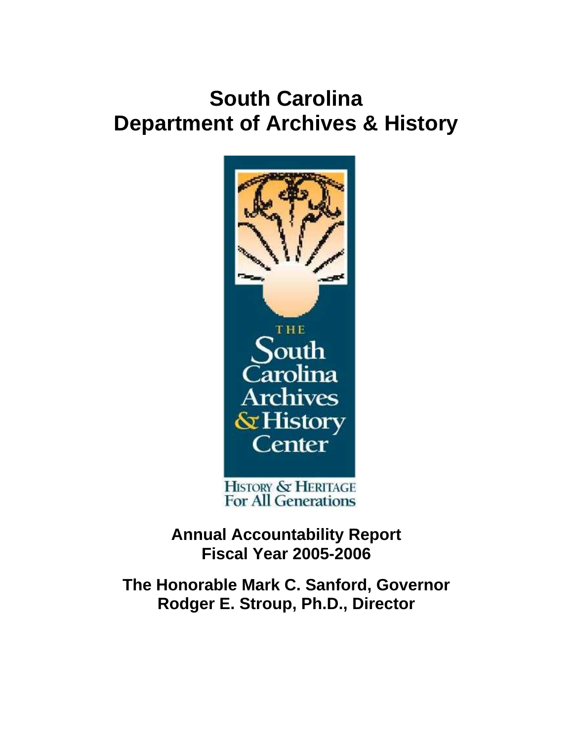# **South Carolina Department of Archives & History**



**Annual Accountability Report Fiscal Year 2005-2006** 

**The Honorable Mark C. Sanford, Governor Rodger E. Stroup, Ph.D., Director**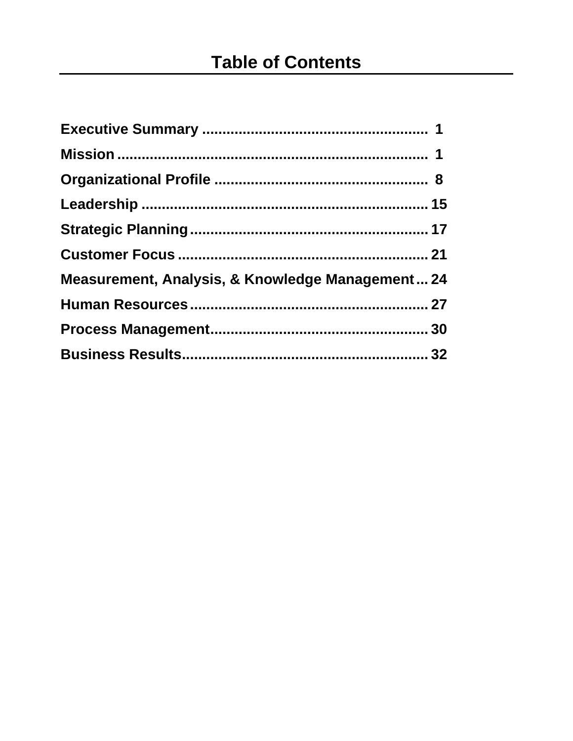| Measurement, Analysis, & Knowledge Management 24 |  |
|--------------------------------------------------|--|
|                                                  |  |
|                                                  |  |
|                                                  |  |
|                                                  |  |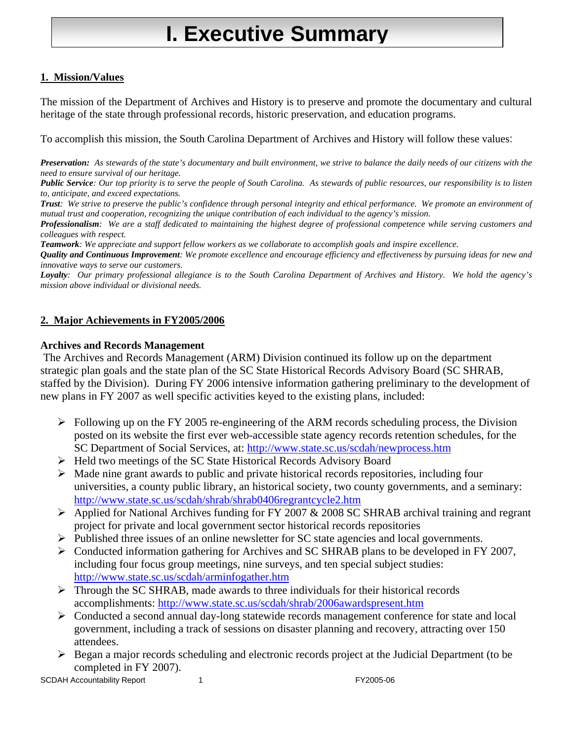# **I. Executive Summary**

#### **1. Mission/Values**

The mission of the Department of Archives and History is to preserve and promote the documentary and cultural heritage of the state through professional records, historic preservation, and education programs.

To accomplish this mission, the South Carolina Department of Archives and History will follow these values:

*Preservation: As stewards of the state's documentary and built environment, we strive to balance the daily needs of our citizens with the need to ensure survival of our heritage.* 

*Public Service: Our top priority is to serve the people of South Carolina. As stewards of public resources, our responsibility is to listen to, anticipate, and exceed expectations.* 

*Trust: We strive to preserve the public's confidence through personal integrity and ethical performance. We promote an environment of mutual trust and cooperation, recognizing the unique contribution of each individual to the agency's mission.* 

*Professionalism: We are a staff dedicated to maintaining the highest degree of professional competence while serving customers and colleagues with respect.* 

*Teamwork: We appreciate and support fellow workers as we collaborate to accomplish goals and inspire excellence.* 

*Quality and Continuous Improvement: We promote excellence and encourage efficiency and effectiveness by pursuing ideas for new and innovative ways to serve our customers.* 

*Loyalty: Our primary professional allegiance is to the South Carolina Department of Archives and History. We hold the agency's mission above individual or divisional needs.*

#### **2. Major Achievements in FY2005/2006**

#### **Archives and Records Management**

 The Archives and Records Management (ARM) Division continued its follow up on the department strategic plan goals and the state plan of the SC State Historical Records Advisory Board (SC SHRAB, staffed by the Division). During FY 2006 intensive information gathering preliminary to the development of new plans in FY 2007 as well specific activities keyed to the existing plans, included:

- $\triangleright$  Following up on the FY 2005 re-engineering of the ARM records scheduling process, the Division posted on its website the first ever web-accessible state agency records retention schedules, for the SC Department of Social Services, at:<http://www.state.sc.us/scdah/newprocess.htm>
- ¾ Held two meetings of the SC State Historical Records Advisory Board
- $\triangleright$  Made nine grant awards to public and private historical records repositories, including four universities, a county public library, an historical society, two county governments, and a seminary: <http://www.state.sc.us/scdah/shrab/shrab0406regrantcycle2.htm>
- $\triangleright$  Applied for National Archives funding for FY 2007 & 2008 SC SHRAB archival training and regrant project for private and local government sector historical records repositories
- $\triangleright$  Published three issues of an online newsletter for SC state agencies and local governments.
- ¾ Conducted information gathering for Archives and SC SHRAB plans to be developed in FY 2007, including four focus group meetings, nine surveys, and ten special subject studies: <http://www.state.sc.us/scdah/arminfogather.htm>
- ¾ Through the SC SHRAB, made awards to three individuals for their historical records accomplishments: <http://www.state.sc.us/scdah/shrab/2006awardspresent.htm>
- ¾ Conducted a second annual day-long statewide records management conference for state and local government, including a track of sessions on disaster planning and recovery, attracting over 150 attendees.
- $\triangleright$  Began a major records scheduling and electronic records project at the Judicial Department (to be completed in FY 2007).

SCDAH Accountability Report 1 1 and 1 FY2005-06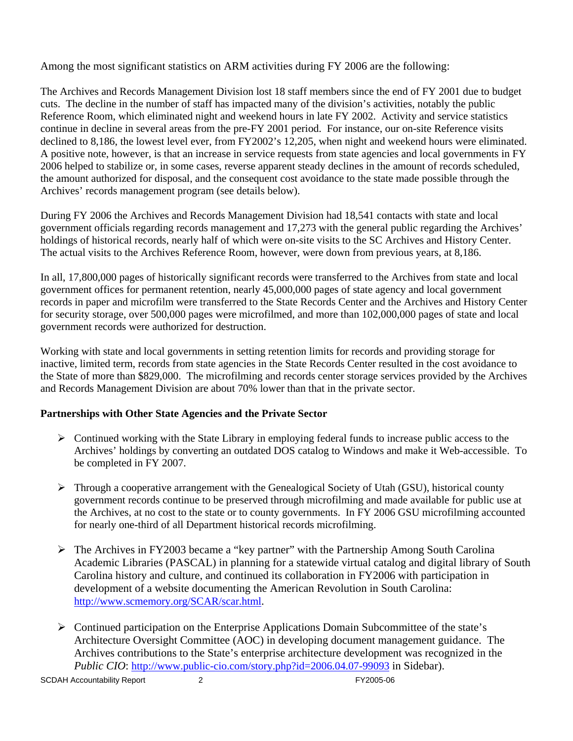Among the most significant statistics on ARM activities during FY 2006 are the following:

The Archives and Records Management Division lost 18 staff members since the end of FY 2001 due to budget cuts. The decline in the number of staff has impacted many of the division's activities, notably the public Reference Room, which eliminated night and weekend hours in late FY 2002. Activity and service statistics continue in decline in several areas from the pre-FY 2001 period. For instance, our on-site Reference visits declined to 8,186, the lowest level ever, from FY2002's 12,205, when night and weekend hours were eliminated. A positive note, however, is that an increase in service requests from state agencies and local governments in FY 2006 helped to stabilize or, in some cases, reverse apparent steady declines in the amount of records scheduled, the amount authorized for disposal, and the consequent cost avoidance to the state made possible through the Archives' records management program (see details below).

During FY 2006 the Archives and Records Management Division had 18,541 contacts with state and local government officials regarding records management and 17,273 with the general public regarding the Archives' holdings of historical records, nearly half of which were on-site visits to the SC Archives and History Center. The actual visits to the Archives Reference Room, however, were down from previous years, at 8,186.

In all, 17,800,000 pages of historically significant records were transferred to the Archives from state and local government offices for permanent retention, nearly 45,000,000 pages of state agency and local government records in paper and microfilm were transferred to the State Records Center and the Archives and History Center for security storage, over 500,000 pages were microfilmed, and more than 102,000,000 pages of state and local government records were authorized for destruction.

Working with state and local governments in setting retention limits for records and providing storage for inactive, limited term, records from state agencies in the State Records Center resulted in the cost avoidance to the State of more than \$829,000. The microfilming and records center storage services provided by the Archives and Records Management Division are about 70% lower than that in the private sector.

#### **Partnerships with Other State Agencies and the Private Sector**

- $\triangleright$  Continued working with the State Library in employing federal funds to increase public access to the Archives' holdings by converting an outdated DOS catalog to Windows and make it Web-accessible. To be completed in FY 2007.
- $\triangleright$  Through a cooperative arrangement with the Genealogical Society of Utah (GSU), historical county government records continue to be preserved through microfilming and made available for public use at the Archives, at no cost to the state or to county governments. In FY 2006 GSU microfilming accounted for nearly one-third of all Department historical records microfilming.
- $\triangleright$  The Archives in FY2003 became a "key partner" with the Partnership Among South Carolina Academic Libraries (PASCAL) in planning for a statewide virtual catalog and digital library of South Carolina history and culture, and continued its collaboration in FY2006 with participation in development of a website documenting the American Revolution in South Carolina: <http://www.scmemory.org/SCAR/scar.html>.
- $\triangleright$  Continued participation on the Enterprise Applications Domain Subcommittee of the state's Architecture Oversight Committee (AOC) in developing document management guidance. The Archives contributions to the State's enterprise architecture development was recognized in the *Public CIO*: <http://www.public-cio.com/story.php?id=2006.04.07-99093> in Sidebar).

SCDAH Accountability Report 2 2 and 2 FY2005-06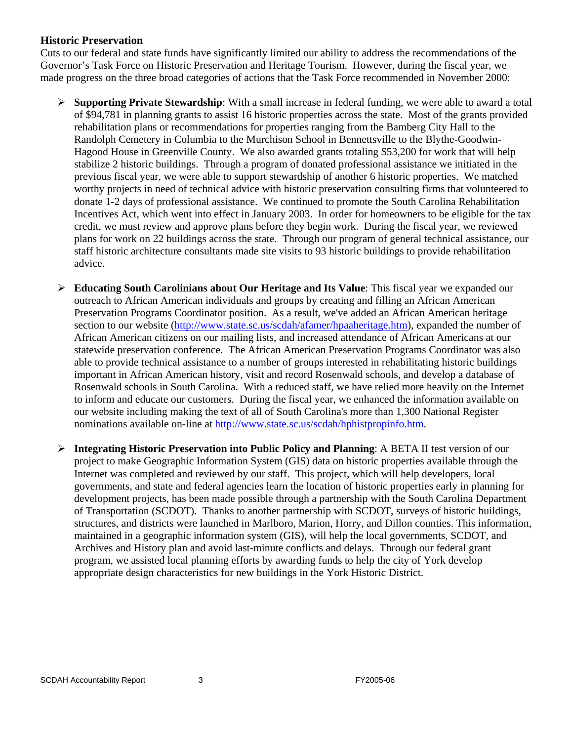#### **Historic Preservation**

Cuts to our federal and state funds have significantly limited our ability to address the recommendations of the Governor's Task Force on Historic Preservation and Heritage Tourism. However, during the fiscal year, we made progress on the three broad categories of actions that the Task Force recommended in November 2000:

- ¾ **Supporting Private Stewardship**: With a small increase in federal funding, we were able to award a total of \$94,781 in planning grants to assist 16 historic properties across the state. Most of the grants provided rehabilitation plans or recommendations for properties ranging from the Bamberg City Hall to the Randolph Cemetery in Columbia to the Murchison School in Bennettsville to the Blythe-Goodwin-Hagood House in Greenville County. We also awarded grants totaling \$53,200 for work that will help stabilize 2 historic buildings. Through a program of donated professional assistance we initiated in the previous fiscal year, we were able to support stewardship of another 6 historic properties. We matched worthy projects in need of technical advice with historic preservation consulting firms that volunteered to donate 1-2 days of professional assistance. We continued to promote the South Carolina Rehabilitation Incentives Act, which went into effect in January 2003. In order for homeowners to be eligible for the tax credit, we must review and approve plans before they begin work. During the fiscal year, we reviewed plans for work on 22 buildings across the state. Through our program of general technical assistance, our staff historic architecture consultants made site visits to 93 historic buildings to provide rehabilitation advice.
- ¾ **Educating South Carolinians about Our Heritage and Its Value**: This fiscal year we expanded our outreach to African American individuals and groups by creating and filling an African American Preservation Programs Coordinator position. As a result, we've added an African American heritage section to our website [\(http://www.state.sc.us/scdah/afamer/hpaaheritage.htm\)](http://www.state.sc.us/scdah/afamer/hpaaheritage.htm), expanded the number of African American citizens on our mailing lists, and increased attendance of African Americans at our statewide preservation conference. The African American Preservation Programs Coordinator was also able to provide technical assistance to a number of groups interested in rehabilitating historic buildings important in African American history, visit and record Rosenwald schools, and develop a database of Rosenwald schools in South Carolina. With a reduced staff, we have relied more heavily on the Internet to inform and educate our customers. During the fiscal year, we enhanced the information available on our website including making the text of all of South Carolina's more than 1,300 National Register nominations available on-line at [http://www.state.sc.us/scdah/hphistpropinfo.htm.](http://www.state.sc.us/scdah/hphistpropinfo.htm)
- ¾ **Integrating Historic Preservation into Public Policy and Planning**: A BETA II test version of our project to make Geographic Information System (GIS) data on historic properties available through the Internet was completed and reviewed by our staff. This project, which will help developers, local governments, and state and federal agencies learn the location of historic properties early in planning for development projects, has been made possible through a partnership with the South Carolina Department of Transportation (SCDOT). Thanks to another partnership with SCDOT, surveys of historic buildings, structures, and districts were launched in Marlboro, Marion, Horry, and Dillon counties. This information, maintained in a geographic information system (GIS), will help the local governments, SCDOT, and Archives and History plan and avoid last-minute conflicts and delays. Through our federal grant program, we assisted local planning efforts by awarding funds to help the city of York develop appropriate design characteristics for new buildings in the York Historic District.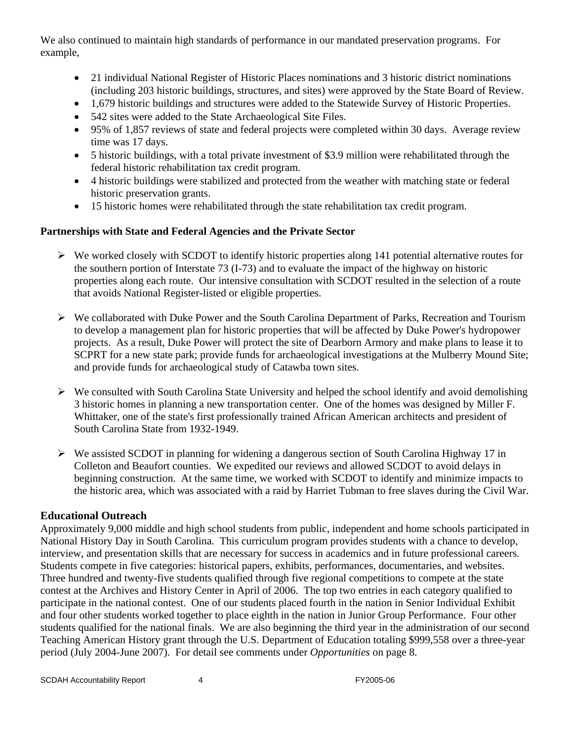We also continued to maintain high standards of performance in our mandated preservation programs. For example,

- 21 individual National Register of Historic Places nominations and 3 historic district nominations (including 203 historic buildings, structures, and sites) were approved by the State Board of Review.
- 1,679 historic buildings and structures were added to the Statewide Survey of Historic Properties.
- 542 sites were added to the State Archaeological Site Files.
- 95% of 1,857 reviews of state and federal projects were completed within 30 days. Average review time was 17 days.
- 5 historic buildings, with a total private investment of \$3.9 million were rehabilitated through the federal historic rehabilitation tax credit program.
- 4 historic buildings were stabilized and protected from the weather with matching state or federal historic preservation grants.
- 15 historic homes were rehabilitated through the state rehabilitation tax credit program.

#### **Partnerships with State and Federal Agencies and the Private Sector**

- $\triangleright$  We worked closely with SCDOT to identify historic properties along 141 potential alternative routes for the southern portion of Interstate 73 (I-73) and to evaluate the impact of the highway on historic properties along each route. Our intensive consultation with SCDOT resulted in the selection of a route that avoids National Register-listed or eligible properties.
- $\triangleright$  We collaborated with Duke Power and the South Carolina Department of Parks, Recreation and Tourism to develop a management plan for historic properties that will be affected by Duke Power's hydropower projects. As a result, Duke Power will protect the site of Dearborn Armory and make plans to lease it to SCPRT for a new state park; provide funds for archaeological investigations at the Mulberry Mound Site; and provide funds for archaeological study of Catawba town sites.
- $\triangleright$  We consulted with South Carolina State University and helped the school identify and avoid demolishing 3 historic homes in planning a new transportation center. One of the homes was designed by Miller F. Whittaker, one of the state's first professionally trained African American architects and president of South Carolina State from 1932-1949.
- $\triangleright$  We assisted SCDOT in planning for widening a dangerous section of South Carolina Highway 17 in Colleton and Beaufort counties. We expedited our reviews and allowed SCDOT to avoid delays in beginning construction. At the same time, we worked with SCDOT to identify and minimize impacts to the historic area, which was associated with a raid by Harriet Tubman to free slaves during the Civil War.

#### **Educational Outreach**

Approximately 9,000 middle and high school students from public, independent and home schools participated in National History Day in South Carolina. This curriculum program provides students with a chance to develop, interview, and presentation skills that are necessary for success in academics and in future professional careers. Students compete in five categories: historical papers, exhibits, performances, documentaries, and websites. Three hundred and twenty-five students qualified through five regional competitions to compete at the state contest at the Archives and History Center in April of 2006. The top two entries in each category qualified to participate in the national contest. One of our students placed fourth in the nation in Senior Individual Exhibit and four other students worked together to place eighth in the nation in Junior Group Performance. Four other students qualified for the national finals. We are also beginning the third year in the administration of our second Teaching American History grant through the U.S. Department of Education totaling \$999,558 over a three-year period (July 2004-June 2007). For detail see comments under *Opportunities* on page 8.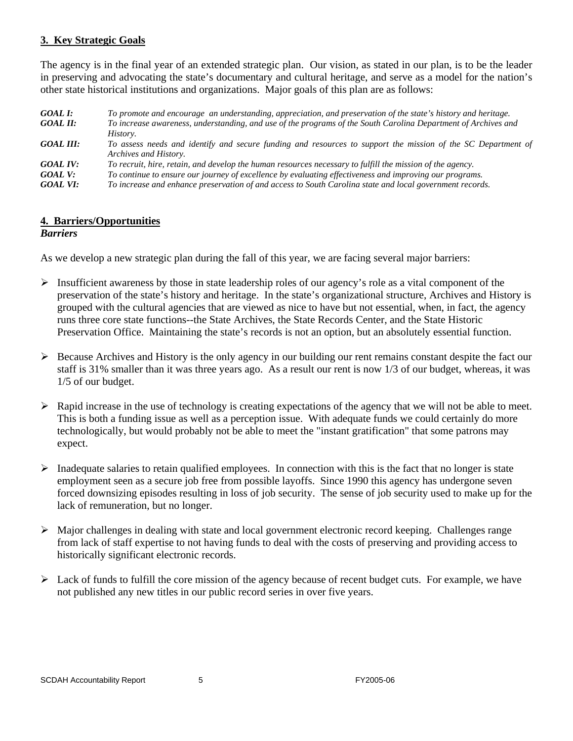#### **3. Key Strategic Goals**

The agency is in the final year of an extended strategic plan. Our vision, as stated in our plan, is to be the leader in preserving and advocating the state's documentary and cultural heritage, and serve as a model for the nation's other state historical institutions and organizations. Major goals of this plan are as follows:

| GOAL I:          | To promote and encourage an understanding, appreciation, and preservation of the state's history and heritage. |
|------------------|----------------------------------------------------------------------------------------------------------------|
| GOAL II:         | To increase awareness, understanding, and use of the programs of the South Carolina Department of Archives and |
|                  | History.                                                                                                       |
| <b>GOAL III:</b> | To assess needs and identify and secure funding and resources to support the mission of the SC Department of   |
|                  | Archives and History.                                                                                          |
| <b>GOAL IV:</b>  | To recruit, hire, retain, and develop the human resources necessary to fulfill the mission of the agency.      |
| GOAL V:          | To continue to ensure our journey of excellence by evaluating effectiveness and improving our programs.        |
| <b>GOAL VI:</b>  | To increase and enhance preservation of and access to South Carolina state and local government records.       |

#### **4. Barriers/Opportunities**

#### *Barriers*

As we develop a new strategic plan during the fall of this year, we are facing several major barriers:

- ¾ Insufficient awareness by those in state leadership roles of our agency's role as a vital component of the preservation of the state's history and heritage. In the state's organizational structure, Archives and History is grouped with the cultural agencies that are viewed as nice to have but not essential, when, in fact, the agency runs three core state functions--the State Archives, the State Records Center, and the State Historic Preservation Office. Maintaining the state's records is not an option, but an absolutely essential function.
- $\triangleright$  Because Archives and History is the only agency in our building our rent remains constant despite the fact our staff is 31% smaller than it was three years ago. As a result our rent is now 1/3 of our budget, whereas, it was 1/5 of our budget.
- ¾ Rapid increase in the use of technology is creating expectations of the agency that we will not be able to meet. This is both a funding issue as well as a perception issue. With adequate funds we could certainly do more technologically, but would probably not be able to meet the "instant gratification" that some patrons may expect.
- $\triangleright$  Inadequate salaries to retain qualified employees. In connection with this is the fact that no longer is state employment seen as a secure job free from possible layoffs. Since 1990 this agency has undergone seven forced downsizing episodes resulting in loss of job security. The sense of job security used to make up for the lack of remuneration, but no longer.
- ¾ Major challenges in dealing with state and local government electronic record keeping. Challenges range from lack of staff expertise to not having funds to deal with the costs of preserving and providing access to historically significant electronic records.
- $\triangleright$  Lack of funds to fulfill the core mission of the agency because of recent budget cuts. For example, we have not published any new titles in our public record series in over five years.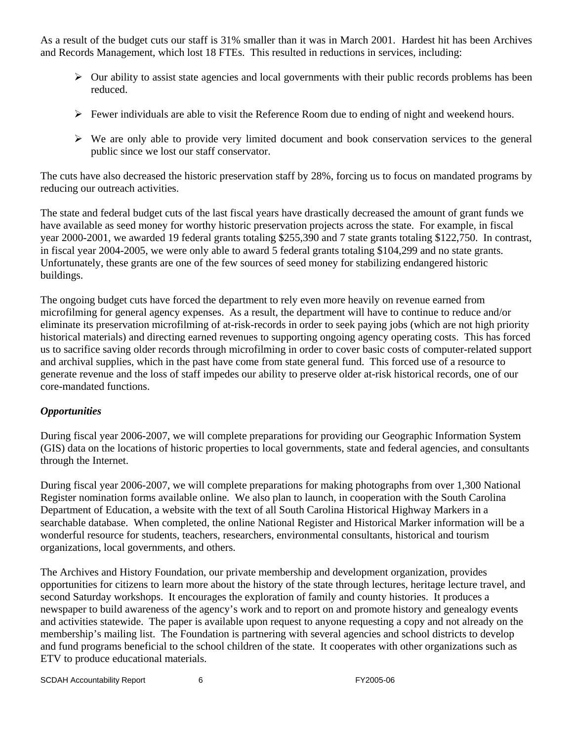As a result of the budget cuts our staff is 31% smaller than it was in March 2001. Hardest hit has been Archives and Records Management, which lost 18 FTEs. This resulted in reductions in services, including:

- $\triangleright$  Our ability to assist state agencies and local governments with their public records problems has been reduced.
- $\triangleright$  Fewer individuals are able to visit the Reference Room due to ending of night and weekend hours.
- $\triangleright$  We are only able to provide very limited document and book conservation services to the general public since we lost our staff conservator.

The cuts have also decreased the historic preservation staff by 28%, forcing us to focus on mandated programs by reducing our outreach activities.

The state and federal budget cuts of the last fiscal years have drastically decreased the amount of grant funds we have available as seed money for worthy historic preservation projects across the state. For example, in fiscal year 2000-2001, we awarded 19 federal grants totaling \$255,390 and 7 state grants totaling \$122,750. In contrast, in fiscal year 2004-2005, we were only able to award 5 federal grants totaling \$104,299 and no state grants. Unfortunately, these grants are one of the few sources of seed money for stabilizing endangered historic buildings.

The ongoing budget cuts have forced the department to rely even more heavily on revenue earned from microfilming for general agency expenses. As a result, the department will have to continue to reduce and/or eliminate its preservation microfilming of at-risk-records in order to seek paying jobs (which are not high priority historical materials) and directing earned revenues to supporting ongoing agency operating costs. This has forced us to sacrifice saving older records through microfilming in order to cover basic costs of computer-related support and archival supplies, which in the past have come from state general fund. This forced use of a resource to generate revenue and the loss of staff impedes our ability to preserve older at-risk historical records, one of our core-mandated functions.

#### *Opportunities*

During fiscal year 2006-2007, we will complete preparations for providing our Geographic Information System (GIS) data on the locations of historic properties to local governments, state and federal agencies, and consultants through the Internet.

During fiscal year 2006-2007, we will complete preparations for making photographs from over 1,300 National Register nomination forms available online. We also plan to launch, in cooperation with the South Carolina Department of Education, a website with the text of all South Carolina Historical Highway Markers in a searchable database. When completed, the online National Register and Historical Marker information will be a wonderful resource for students, teachers, researchers, environmental consultants, historical and tourism organizations, local governments, and others.

The Archives and History Foundation, our private membership and development organization, provides opportunities for citizens to learn more about the history of the state through lectures, heritage lecture travel, and second Saturday workshops. It encourages the exploration of family and county histories. It produces a newspaper to build awareness of the agency's work and to report on and promote history and genealogy events and activities statewide. The paper is available upon request to anyone requesting a copy and not already on the membership's mailing list. The Foundation is partnering with several agencies and school districts to develop and fund programs beneficial to the school children of the state. It cooperates with other organizations such as ETV to produce educational materials.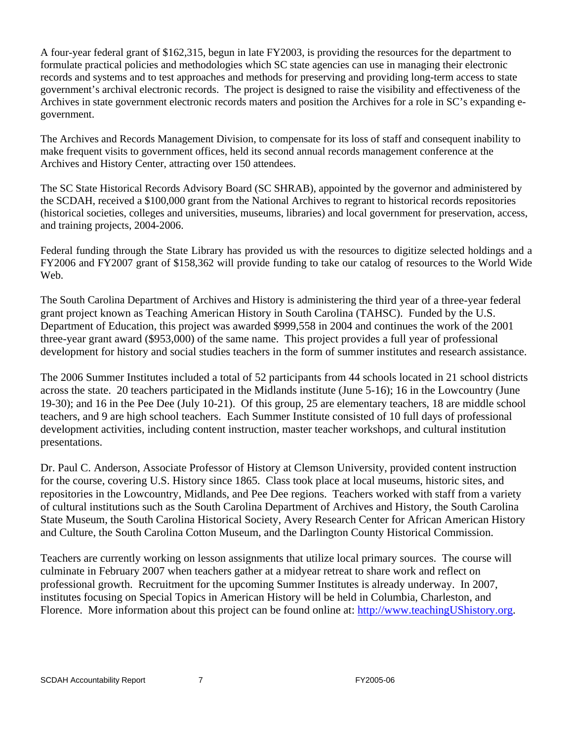A four-year federal grant of \$162,315, begun in late FY2003, is providing the resources for the department to formulate practical policies and methodologies which SC state agencies can use in managing their electronic records and systems and to test approaches and methods for preserving and providing long-term access to state government's archival electronic records. The project is designed to raise the visibility and effectiveness of the Archives in state government electronic records maters and position the Archives for a role in SC's expanding egovernment.

The Archives and Records Management Division, to compensate for its loss of staff and consequent inability to make frequent visits to government offices, held its second annual records management conference at the Archives and History Center, attracting over 150 attendees.

The SC State Historical Records Advisory Board (SC SHRAB), appointed by the governor and administered by the SCDAH, received a \$100,000 grant from the National Archives to regrant to historical records repositories (historical societies, colleges and universities, museums, libraries) and local government for preservation, access, and training projects, 2004-2006.

Federal funding through the State Library has provided us with the resources to digitize selected holdings and a FY2006 and FY2007 grant of \$158,362 will provide funding to take our catalog of resources to the World Wide Web.

The South Carolina Department of Archives and History is administering the third year of a three-year federal grant project known as Teaching American History in South Carolina (TAHSC). Funded by the U.S. Department of Education, this project was awarded \$999,558 in 2004 and continues the work of the 2001 three-year grant award (\$953,000) of the same name. This project provides a full year of professional development for history and social studies teachers in the form of summer institutes and research assistance.

The 2006 Summer Institutes included a total of 52 participants from 44 schools located in 21 school districts across the state. 20 teachers participated in the Midlands institute (June 5-16); 16 in the Lowcountry (June 19-30); and 16 in the Pee Dee (July 10-21). Of this group, 25 are elementary teachers, 18 are middle school teachers, and 9 are high school teachers. Each Summer Institute consisted of 10 full days of professional development activities, including content instruction, master teacher workshops, and cultural institution presentations.

Dr. Paul C. Anderson, Associate Professor of History at Clemson University, provided content instruction for the course, covering U.S. History since 1865. Class took place at local museums, historic sites, and repositories in the Lowcountry, Midlands, and Pee Dee regions. Teachers worked with staff from a variety of cultural institutions such as the South Carolina Department of Archives and History, the South Carolina State Museum, the South Carolina Historical Society, Avery Research Center for African American History and Culture, the South Carolina Cotton Museum, and the Darlington County Historical Commission.

Teachers are currently working on lesson assignments that utilize local primary sources. The course will culminate in February 2007 when teachers gather at a midyear retreat to share work and reflect on professional growth. Recruitment for the upcoming Summer Institutes is already underway. In 2007, institutes focusing on Special Topics in American History will be held in Columbia, Charleston, and Florence. More information about this project can be found online at: [http://www.teachingUShistory.org](http://www.teachingushistory.org/).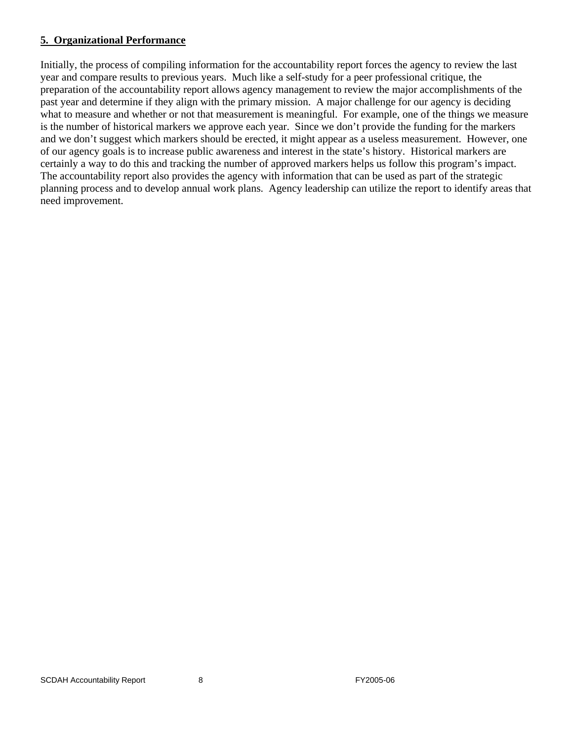#### **5. Organizational Performance**

Initially, the process of compiling information for the accountability report forces the agency to review the last year and compare results to previous years. Much like a self-study for a peer professional critique, the preparation of the accountability report allows agency management to review the major accomplishments of the past year and determine if they align with the primary mission. A major challenge for our agency is deciding what to measure and whether or not that measurement is meaningful. For example, one of the things we measure is the number of historical markers we approve each year. Since we don't provide the funding for the markers and we don't suggest which markers should be erected, it might appear as a useless measurement. However, one of our agency goals is to increase public awareness and interest in the state's history. Historical markers are certainly a way to do this and tracking the number of approved markers helps us follow this program's impact. The accountability report also provides the agency with information that can be used as part of the strategic planning process and to develop annual work plans. Agency leadership can utilize the report to identify areas that need improvement.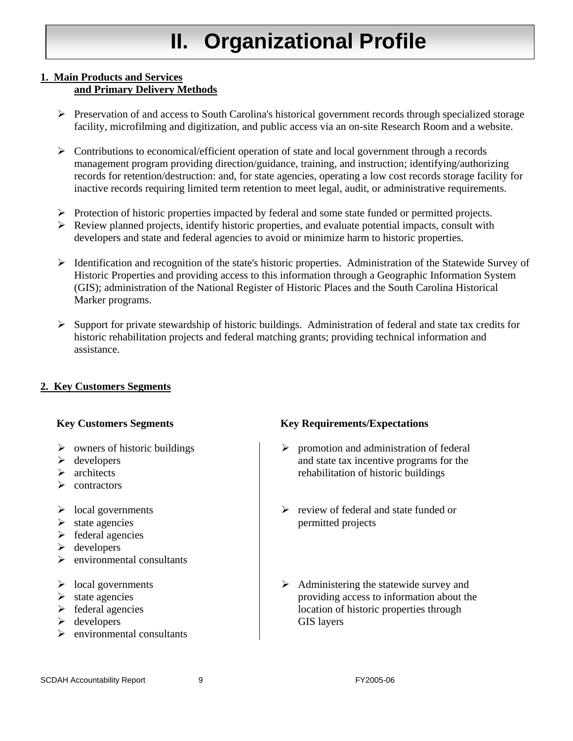# **II. Organizational Profile**

#### **1. Main Products and Services and Primary Delivery Methods**

- ¾ Preservation of and access to South Carolina's historical government records through specialized storage facility, microfilming and digitization, and public access via an on-site Research Room and a website.
- $\triangleright$  Contributions to economical/efficient operation of state and local government through a records management program providing direction/guidance, training, and instruction; identifying/authorizing records for retention/destruction: and, for state agencies, operating a low cost records storage facility for inactive records requiring limited term retention to meet legal, audit, or administrative requirements.
- $\triangleright$  Protection of historic properties impacted by federal and some state funded or permitted projects.
- $\triangleright$  Review planned projects, identify historic properties, and evaluate potential impacts, consult with developers and state and federal agencies to avoid or minimize harm to historic properties.
- ¾ Identification and recognition of the state's historic properties. Administration of the Statewide Survey of Historic Properties and providing access to this information through a Geographic Information System (GIS); administration of the National Register of Historic Places and the South Carolina Historical Marker programs.
- $\triangleright$  Support for private stewardship of historic buildings. Administration of federal and state tax credits for historic rehabilitation projects and federal matching grants; providing technical information and assistance.

#### **2. Key Customers Segments**

- $\triangleright$  owners of historic buildings
- $\triangleright$  developers
- $\triangleright$  architects
- $\triangleright$  contractors
- $\triangleright$  local governments
- $\triangleright$  state agencies
- $\triangleright$  federal agencies
- $\triangleright$  developers
- $\triangleright$  environmental consultants
- $\triangleright$  local governments
- $\triangleright$  state agencies
- $\triangleright$  federal agencies
- $\triangleright$  developers
- $\triangleright$  environmental consultants

#### **Key Customers Segments Key Requirements/Expectations**

- $\triangleright$  promotion and administration of federal and state tax incentive programs for the rehabilitation of historic buildings
- $\triangleright$  review of federal and state funded or permitted projects
- $\triangleright$  Administering the statewide survey and providing access to information about the location of historic properties through GIS layers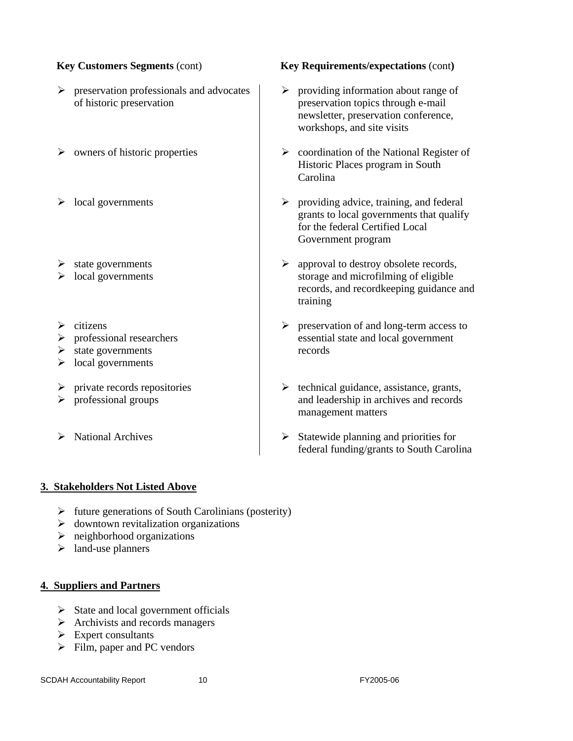- $\triangleright$  preservation professionals and advocates of historic preservation
- 
- 
- $\triangleright$  state governments
- $\triangleright$  local governments
- $\triangleright$  citizens
- $\triangleright$  professional researchers
- $\triangleright$  state governments
- $\triangleright$  local governments
- $\triangleright$  private records repositories
- $\triangleright$  professional groups
- 

#### **Key Customers Segments** (cont) **Key Requirements/expectations** (cont**)**

- $\triangleright$  providing information about range of preservation topics through e-mail newsletter, preservation conference, workshops, and site visits
- $\triangleright$  owners of historic properties  $\triangleright$  coordination of the National Register of Historic Places program in South Carolina
- → local governments  $\rightarrow$  providing advice, training, and federal grants to local governments that qualify for the federal Certified Local Government program
	- $\triangleright$  approval to destroy obsolete records, storage and microfilming of eligible records, and recordkeeping guidance and training
	- $\triangleright$  preservation of and long-term access to essential state and local government records
	- $\triangleright$  technical guidance, assistance, grants, and leadership in archives and records management matters
- → National Archives <br>
→ Statewide planning and priorities for federal funding/grants to South Carolina

#### **3. Stakeholders Not Listed Above**

- $\triangleright$  future generations of South Carolinians (posterity)
- $\triangleright$  downtown revitalization organizations
- $\triangleright$  neighborhood organizations
- $\triangleright$  land-use planners

#### **4. Suppliers and Partners**

- $\triangleright$  State and local government officials
- $\triangleright$  Archivists and records managers
- $\triangleright$  Expert consultants
- $\triangleright$  Film, paper and PC vendors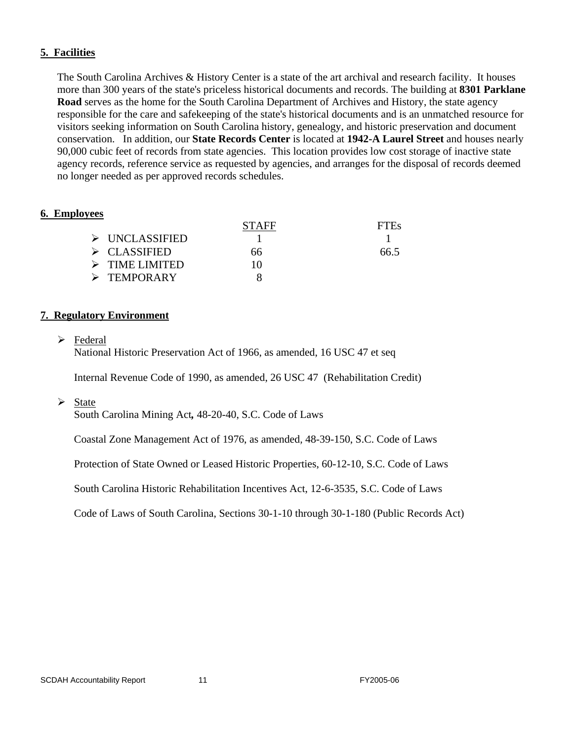#### **5. Facilities**

The South Carolina Archives & History Center is a state of the art archival and research facility. It houses more than 300 years of the state's priceless historical documents and records. The building at **8301 Parklane Road** serves as the home for the South Carolina Department of Archives and History, the state agency responsible for the care and safekeeping of the state's historical documents and is an unmatched resource for visitors seeking information on South Carolina history, genealogy, and historic preservation and document conservation. In addition, our **State Records Center** is located at **1942-A Laurel Street** and houses nearly 90,000 cubic feet of records from state agencies. This location provides low cost storage of inactive state agency records, reference service as requested by agencies, and arranges for the disposal of records deemed no longer needed as per approved records schedules.

#### **6. Employees**

|                               | <b>STAFF</b> | <b>FIEs</b> |
|-------------------------------|--------------|-------------|
| $\triangleright$ UNCLASSIFIED |              |             |
| $\triangleright$ CLASSIFIED   | 66.          | 66.5        |
| $\triangleright$ TIME LIMITED | 10           |             |
| $\triangleright$ TEMPORARY    |              |             |

#### **7. Regulatory Environment**

 $\triangleright$  Federal

National Historic Preservation Act of 1966, as amended, 16 USC 47 et seq

Internal Revenue Code of 1990, as amended, 26 USC 47 (Rehabilitation Credit)

 $\triangleright$  State

South Carolina Mining Act*,* 48-20-40, S.C. Code of Laws

Coastal Zone Management Act of 1976, as amended*,* 48-39-150, S.C. Code of Laws

Protection of State Owned or Leased Historic Properties, 60-12-10, S.C. Code of Laws

South Carolina Historic Rehabilitation Incentives Act, 12-6-3535, S.C. Code of Laws

Code of Laws of South Carolina, Sections 30-1-10 through 30-1-180 (Public Records Act)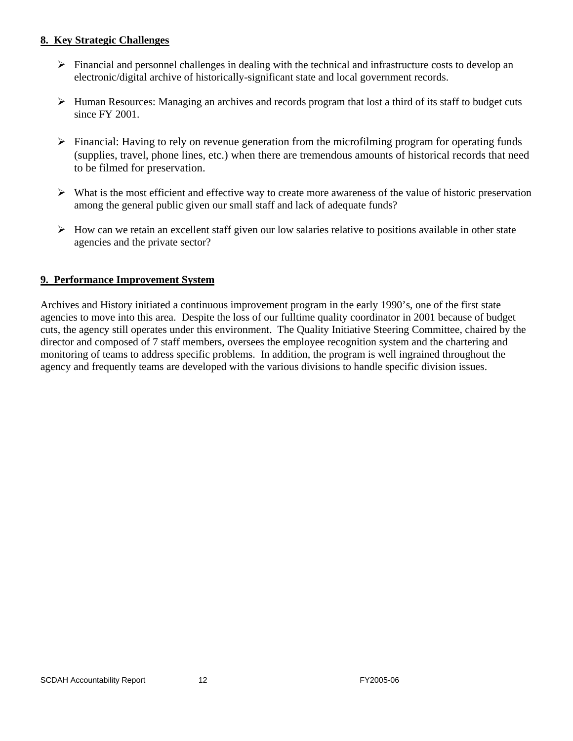#### **8. Key Strategic Challenges**

- $\triangleright$  Financial and personnel challenges in dealing with the technical and infrastructure costs to develop an electronic/digital archive of historically-significant state and local government records.
- $\triangleright$  Human Resources: Managing an archives and records program that lost a third of its staff to budget cuts since FY 2001.
- $\triangleright$  Financial: Having to rely on revenue generation from the microfilming program for operating funds (supplies, travel, phone lines, etc.) when there are tremendous amounts of historical records that need to be filmed for preservation.
- $\triangleright$  What is the most efficient and effective way to create more awareness of the value of historic preservation among the general public given our small staff and lack of adequate funds?
- $\triangleright$  How can we retain an excellent staff given our low salaries relative to positions available in other state agencies and the private sector?

#### **9. Performance Improvement System**

Archives and History initiated a continuous improvement program in the early 1990's, one of the first state agencies to move into this area. Despite the loss of our fulltime quality coordinator in 2001 because of budget cuts, the agency still operates under this environment. The Quality Initiative Steering Committee, chaired by the director and composed of 7 staff members, oversees the employee recognition system and the chartering and monitoring of teams to address specific problems. In addition, the program is well ingrained throughout the agency and frequently teams are developed with the various divisions to handle specific division issues.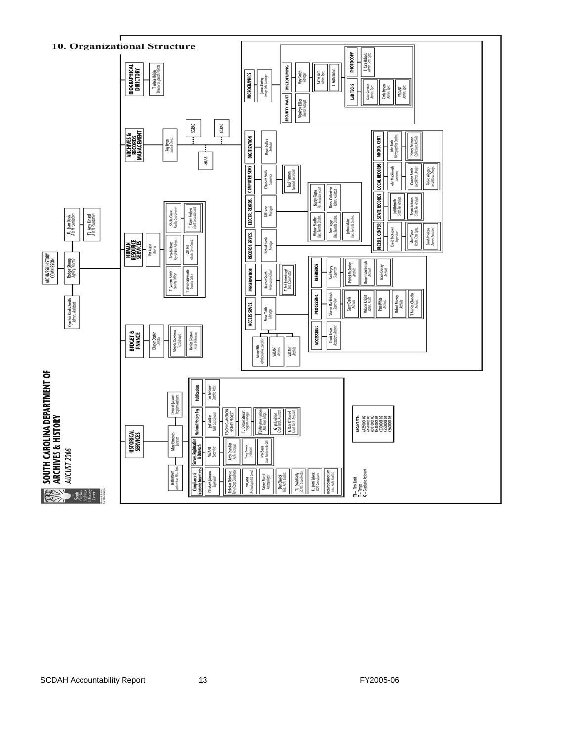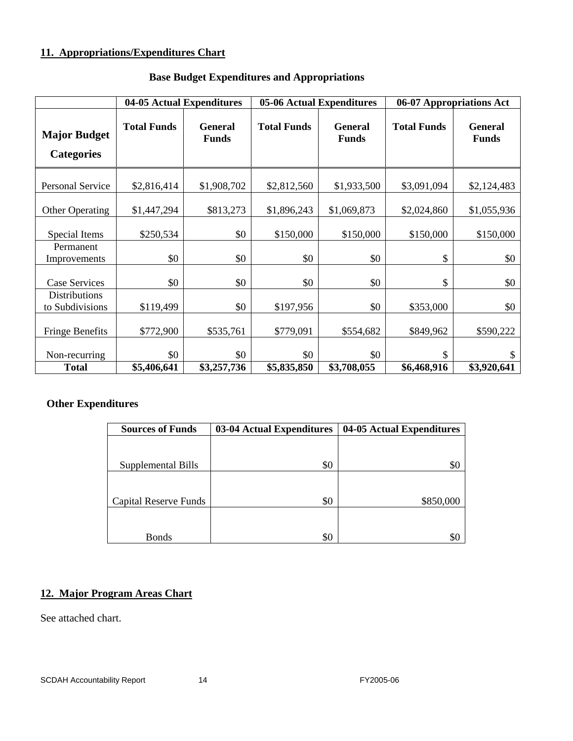#### **11. Appropriations/Expenditures Chart**

|                                          | 04-05 Actual Expenditures |                                |                    | 05-06 Actual Expenditures      | 06-07 Appropriations Act |                                |  |
|------------------------------------------|---------------------------|--------------------------------|--------------------|--------------------------------|--------------------------|--------------------------------|--|
| <b>Major Budget</b><br><b>Categories</b> | <b>Total Funds</b>        | <b>General</b><br><b>Funds</b> | <b>Total Funds</b> | <b>General</b><br><b>Funds</b> | <b>Total Funds</b>       | <b>General</b><br><b>Funds</b> |  |
| <b>Personal Service</b>                  | \$2,816,414               | \$1,908,702                    | \$2,812,560        | \$1,933,500                    | \$3,091,094              | \$2,124,483                    |  |
| <b>Other Operating</b>                   | \$1,447,294               | \$813,273                      | \$1,896,243        | \$1,069,873                    | \$2,024,860              | \$1,055,936                    |  |
| Special Items                            | \$250,534                 | \$0                            | \$150,000          | \$150,000                      | \$150,000                | \$150,000                      |  |
| Permanent<br>Improvements                | \$0                       | \$0                            | \$0                | \$0                            | \$                       | \$0                            |  |
| <b>Case Services</b>                     | \$0                       | \$0                            | \$0                | \$0                            | \$                       | \$0                            |  |
| <b>Distributions</b><br>to Subdivisions  | \$119,499                 | \$0                            | \$197,956          | \$0                            | \$353,000                | \$0                            |  |
| <b>Fringe Benefits</b>                   | \$772,900                 | \$535,761                      | \$779,091          | \$554,682                      | \$849,962                | \$590,222                      |  |
| Non-recurring                            | \$0                       | \$0                            | \$0                | \$0                            | \$                       | \$                             |  |
| <b>Total</b>                             | \$5,406,641               | \$3,257,736                    | \$5,835,850        | \$3,708,055                    | \$6,468,916              | \$3,920,641                    |  |

### **Base Budget Expenditures and Appropriations**

### **Other Expenditures**

| <b>Sources of Funds</b>      | 03-04 Actual Expenditures | 04-05 Actual Expenditures |
|------------------------------|---------------------------|---------------------------|
|                              |                           |                           |
|                              |                           |                           |
| Supplemental Bills           | \$0                       | \$C                       |
|                              |                           |                           |
|                              |                           |                           |
| <b>Capital Reserve Funds</b> | \$0                       | \$850,000                 |
|                              |                           |                           |
|                              |                           |                           |
| <b>Bonds</b>                 | \$0                       | \$0                       |

### **12. Major Program Areas Chart**

See attached chart.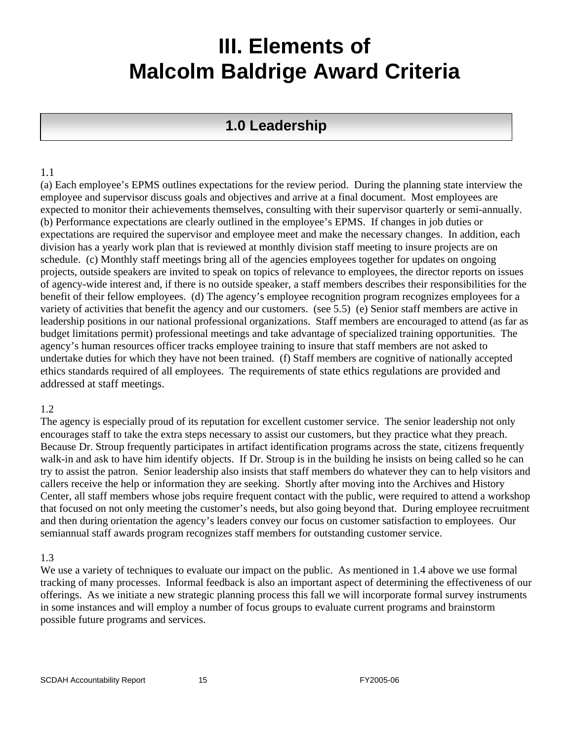# **III. Elements of Malcolm Baldrige Award Criteria**

# **1.0 Leadership**

#### 1.1

(a) Each employee's EPMS outlines expectations for the review period. During the planning state interview the employee and supervisor discuss goals and objectives and arrive at a final document. Most employees are expected to monitor their achievements themselves, consulting with their supervisor quarterly or semi-annually. (b) Performance expectations are clearly outlined in the employee's EPMS. If changes in job duties or expectations are required the supervisor and employee meet and make the necessary changes. In addition, each division has a yearly work plan that is reviewed at monthly division staff meeting to insure projects are on schedule. (c) Monthly staff meetings bring all of the agencies employees together for updates on ongoing projects, outside speakers are invited to speak on topics of relevance to employees, the director reports on issues of agency-wide interest and, if there is no outside speaker, a staff members describes their responsibilities for the benefit of their fellow employees. (d) The agency's employee recognition program recognizes employees for a variety of activities that benefit the agency and our customers. (see 5.5) (e) Senior staff members are active in leadership positions in our national professional organizations. Staff members are encouraged to attend (as far as budget limitations permit) professional meetings and take advantage of specialized training opportunities. The agency's human resources officer tracks employee training to insure that staff members are not asked to undertake duties for which they have not been trained. (f) Staff members are cognitive of nationally accepted ethics standards required of all employees. The requirements of state ethics regulations are provided and addressed at staff meetings.

#### 1.2

The agency is especially proud of its reputation for excellent customer service. The senior leadership not only encourages staff to take the extra steps necessary to assist our customers, but they practice what they preach. Because Dr. Stroup frequently participates in artifact identification programs across the state, citizens frequently walk-in and ask to have him identify objects. If Dr. Stroup is in the building he insists on being called so he can try to assist the patron. Senior leadership also insists that staff members do whatever they can to help visitors and callers receive the help or information they are seeking. Shortly after moving into the Archives and History Center, all staff members whose jobs require frequent contact with the public, were required to attend a workshop that focused on not only meeting the customer's needs, but also going beyond that. During employee recruitment and then during orientation the agency's leaders convey our focus on customer satisfaction to employees. Our semiannual staff awards program recognizes staff members for outstanding customer service.

#### 1.3

We use a variety of techniques to evaluate our impact on the public. As mentioned in 1.4 above we use formal tracking of many processes. Informal feedback is also an important aspect of determining the effectiveness of our offerings. As we initiate a new strategic planning process this fall we will incorporate formal survey instruments in some instances and will employ a number of focus groups to evaluate current programs and brainstorm possible future programs and services.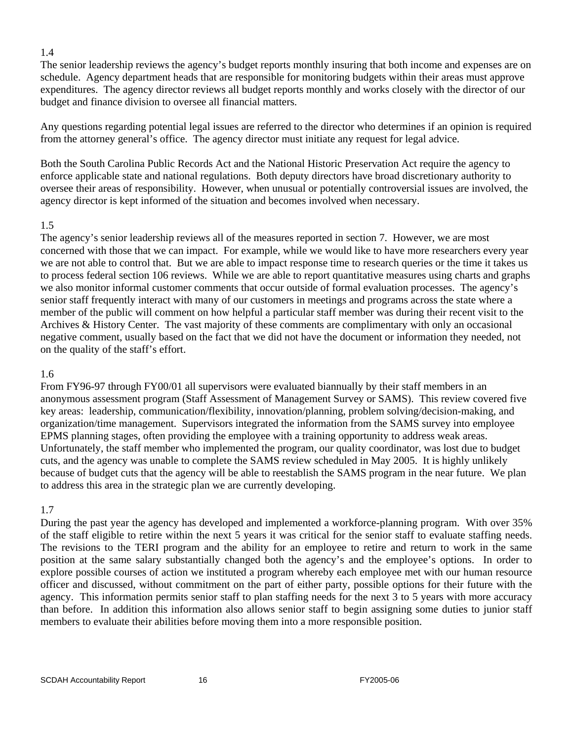The senior leadership reviews the agency's budget reports monthly insuring that both income and expenses are on schedule. Agency department heads that are responsible for monitoring budgets within their areas must approve expenditures. The agency director reviews all budget reports monthly and works closely with the director of our budget and finance division to oversee all financial matters.

Any questions regarding potential legal issues are referred to the director who determines if an opinion is required from the attorney general's office. The agency director must initiate any request for legal advice.

Both the South Carolina Public Records Act and the National Historic Preservation Act require the agency to enforce applicable state and national regulations. Both deputy directors have broad discretionary authority to oversee their areas of responsibility. However, when unusual or potentially controversial issues are involved, the agency director is kept informed of the situation and becomes involved when necessary.

#### 1.5

The agency's senior leadership reviews all of the measures reported in section 7. However, we are most concerned with those that we can impact. For example, while we would like to have more researchers every year we are not able to control that. But we are able to impact response time to research queries or the time it takes us to process federal section 106 reviews. While we are able to report quantitative measures using charts and graphs we also monitor informal customer comments that occur outside of formal evaluation processes. The agency's senior staff frequently interact with many of our customers in meetings and programs across the state where a member of the public will comment on how helpful a particular staff member was during their recent visit to the Archives & History Center. The vast majority of these comments are complimentary with only an occasional negative comment, usually based on the fact that we did not have the document or information they needed, not on the quality of the staff's effort.

#### 1.6

From FY96-97 through FY00/01 all supervisors were evaluated biannually by their staff members in an anonymous assessment program (Staff Assessment of Management Survey or SAMS). This review covered five key areas: leadership, communication/flexibility, innovation/planning, problem solving/decision-making, and organization/time management. Supervisors integrated the information from the SAMS survey into employee EPMS planning stages, often providing the employee with a training opportunity to address weak areas. Unfortunately, the staff member who implemented the program, our quality coordinator, was lost due to budget cuts, and the agency was unable to complete the SAMS review scheduled in May 2005. It is highly unlikely because of budget cuts that the agency will be able to reestablish the SAMS program in the near future. We plan to address this area in the strategic plan we are currently developing.

#### 1.7

During the past year the agency has developed and implemented a workforce-planning program. With over 35% of the staff eligible to retire within the next 5 years it was critical for the senior staff to evaluate staffing needs. The revisions to the TERI program and the ability for an employee to retire and return to work in the same position at the same salary substantially changed both the agency's and the employee's options. In order to explore possible courses of action we instituted a program whereby each employee met with our human resource officer and discussed, without commitment on the part of either party, possible options for their future with the agency. This information permits senior staff to plan staffing needs for the next 3 to 5 years with more accuracy than before. In addition this information also allows senior staff to begin assigning some duties to junior staff members to evaluate their abilities before moving them into a more responsible position.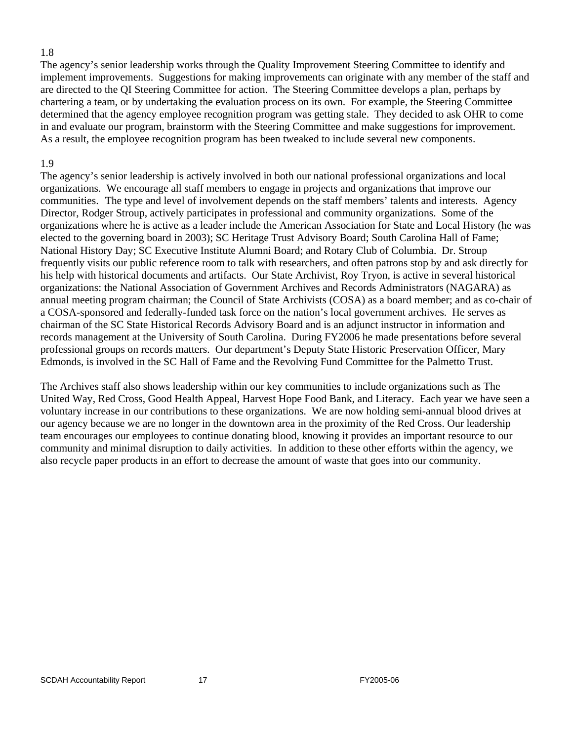The agency's senior leadership works through the Quality Improvement Steering Committee to identify and implement improvements. Suggestions for making improvements can originate with any member of the staff and are directed to the QI Steering Committee for action. The Steering Committee develops a plan, perhaps by chartering a team, or by undertaking the evaluation process on its own. For example, the Steering Committee determined that the agency employee recognition program was getting stale. They decided to ask OHR to come in and evaluate our program, brainstorm with the Steering Committee and make suggestions for improvement. As a result, the employee recognition program has been tweaked to include several new components.

#### 1.9

The agency's senior leadership is actively involved in both our national professional organizations and local organizations. We encourage all staff members to engage in projects and organizations that improve our communities. The type and level of involvement depends on the staff members' talents and interests. Agency Director, Rodger Stroup, actively participates in professional and community organizations. Some of the organizations where he is active as a leader include the American Association for State and Local History (he was elected to the governing board in 2003); SC Heritage Trust Advisory Board; South Carolina Hall of Fame; National History Day; SC Executive Institute Alumni Board; and Rotary Club of Columbia. Dr. Stroup frequently visits our public reference room to talk with researchers, and often patrons stop by and ask directly for his help with historical documents and artifacts. Our State Archivist, Roy Tryon, is active in several historical organizations: the National Association of Government Archives and Records Administrators (NAGARA) as annual meeting program chairman; the Council of State Archivists (COSA) as a board member; and as co-chair of a COSA-sponsored and federally-funded task force on the nation's local government archives. He serves as chairman of the SC State Historical Records Advisory Board and is an adjunct instructor in information and records management at the University of South Carolina. During FY2006 he made presentations before several professional groups on records matters. Our department's Deputy State Historic Preservation Officer, Mary Edmonds, is involved in the SC Hall of Fame and the Revolving Fund Committee for the Palmetto Trust.

The Archives staff also shows leadership within our key communities to include organizations such as The United Way, Red Cross, Good Health Appeal, Harvest Hope Food Bank, and Literacy. Each year we have seen a voluntary increase in our contributions to these organizations. We are now holding semi-annual blood drives at our agency because we are no longer in the downtown area in the proximity of the Red Cross. Our leadership team encourages our employees to continue donating blood, knowing it provides an important resource to our community and minimal disruption to daily activities. In addition to these other efforts within the agency, we also recycle paper products in an effort to decrease the amount of waste that goes into our community.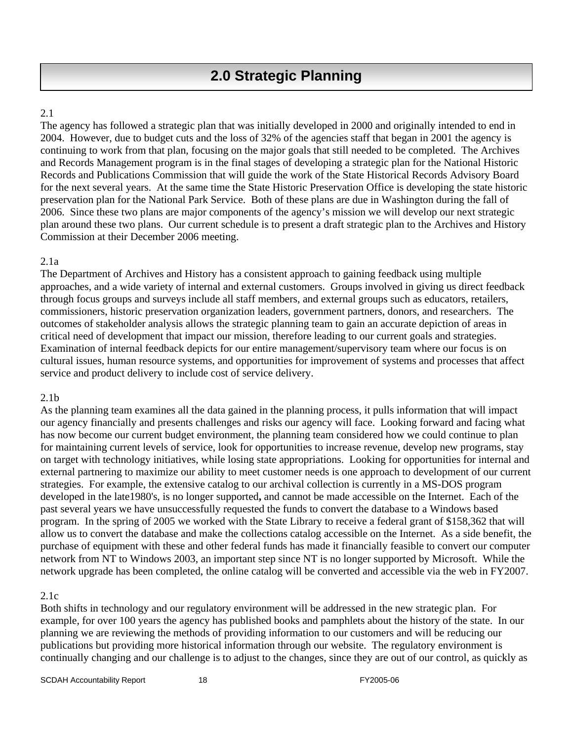The agency has followed a strategic plan that was initially developed in 2000 and originally intended to end in 2004. However, due to budget cuts and the loss of 32% of the agencies staff that began in 2001 the agency is continuing to work from that plan, focusing on the major goals that still needed to be completed. The Archives and Records Management program is in the final stages of developing a strategic plan for the National Historic Records and Publications Commission that will guide the work of the State Historical Records Advisory Board for the next several years. At the same time the State Historic Preservation Office is developing the state historic preservation plan for the National Park Service. Both of these plans are due in Washington during the fall of 2006. Since these two plans are major components of the agency's mission we will develop our next strategic plan around these two plans. Our current schedule is to present a draft strategic plan to the Archives and History Commission at their December 2006 meeting.

#### 2.1a

The Department of Archives and History has a consistent approach to gaining feedback using multiple approaches, and a wide variety of internal and external customers. Groups involved in giving us direct feedback through focus groups and surveys include all staff members, and external groups such as educators, retailers, commissioners, historic preservation organization leaders, government partners, donors, and researchers. The outcomes of stakeholder analysis allows the strategic planning team to gain an accurate depiction of areas in critical need of development that impact our mission, therefore leading to our current goals and strategies. Examination of internal feedback depicts for our entire management/supervisory team where our focus is on cultural issues, human resource systems, and opportunities for improvement of systems and processes that affect service and product delivery to include cost of service delivery.

#### 2.1b

As the planning team examines all the data gained in the planning process, it pulls information that will impact our agency financially and presents challenges and risks our agency will face. Looking forward and facing what has now become our current budget environment, the planning team considered how we could continue to plan for maintaining current levels of service, look for opportunities to increase revenue, develop new programs, stay on target with technology initiatives, while losing state appropriations. Looking for opportunities for internal and external partnering to maximize our ability to meet customer needs is one approach to development of our current strategies. For example, the extensive catalog to our archival collection is currently in a MS-DOS program developed in the late1980's, is no longer supported**,** and cannot be made accessible on the Internet. Each of the past several years we have unsuccessfully requested the funds to convert the database to a Windows based program. In the spring of 2005 we worked with the State Library to receive a federal grant of \$158,362 that will allow us to convert the database and make the collections catalog accessible on the Internet. As a side benefit, the purchase of equipment with these and other federal funds has made it financially feasible to convert our computer network from NT to Windows 2003, an important step since NT is no longer supported by Microsoft. While the network upgrade has been completed, the online catalog will be converted and accessible via the web in FY2007.

#### 2.1c

Both shifts in technology and our regulatory environment will be addressed in the new strategic plan. For example, for over 100 years the agency has published books and pamphlets about the history of the state. In our planning we are reviewing the methods of providing information to our customers and will be reducing our publications but providing more historical information through our website. The regulatory environment is continually changing and our challenge is to adjust to the changes, since they are out of our control, as quickly as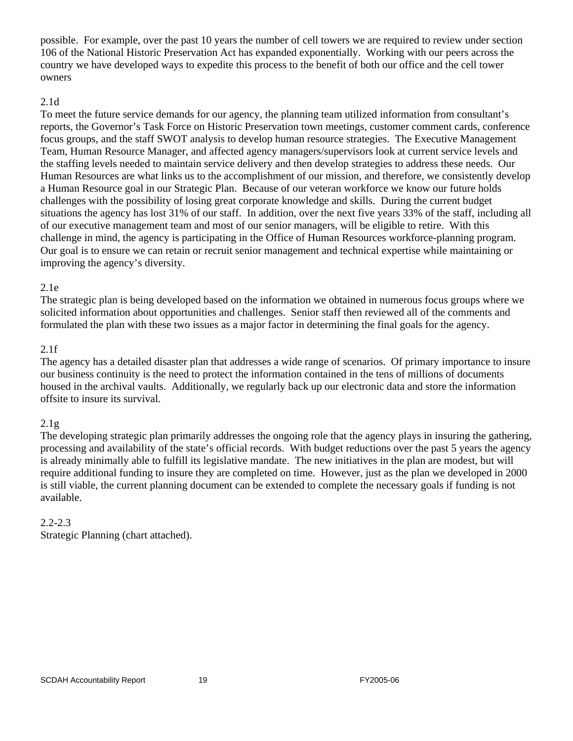possible. For example, over the past 10 years the number of cell towers we are required to review under section 106 of the National Historic Preservation Act has expanded exponentially. Working with our peers across the country we have developed ways to expedite this process to the benefit of both our office and the cell tower owners

#### 2.1d

To meet the future service demands for our agency, the planning team utilized information from consultant's reports, the Governor's Task Force on Historic Preservation town meetings, customer comment cards, conference focus groups, and the staff SWOT analysis to develop human resource strategies. The Executive Management Team, Human Resource Manager, and affected agency managers/supervisors look at current service levels and the staffing levels needed to maintain service delivery and then develop strategies to address these needs. Our Human Resources are what links us to the accomplishment of our mission, and therefore, we consistently develop a Human Resource goal in our Strategic Plan. Because of our veteran workforce we know our future holds challenges with the possibility of losing great corporate knowledge and skills. During the current budget situations the agency has lost 31% of our staff. In addition, over the next five years 33% of the staff, including all of our executive management team and most of our senior managers, will be eligible to retire. With this challenge in mind, the agency is participating in the Office of Human Resources workforce-planning program. Our goal is to ensure we can retain or recruit senior management and technical expertise while maintaining or improving the agency's diversity.

#### 2.1e

The strategic plan is being developed based on the information we obtained in numerous focus groups where we solicited information about opportunities and challenges. Senior staff then reviewed all of the comments and formulated the plan with these two issues as a major factor in determining the final goals for the agency.

#### 2.1f

The agency has a detailed disaster plan that addresses a wide range of scenarios. Of primary importance to insure our business continuity is the need to protect the information contained in the tens of millions of documents housed in the archival vaults. Additionally, we regularly back up our electronic data and store the information offsite to insure its survival.

#### $2.1g$

The developing strategic plan primarily addresses the ongoing role that the agency plays in insuring the gathering, processing and availability of the state's official records. With budget reductions over the past 5 years the agency is already minimally able to fulfill its legislative mandate. The new initiatives in the plan are modest, but will require additional funding to insure they are completed on time. However, just as the plan we developed in 2000 is still viable, the current planning document can be extended to complete the necessary goals if funding is not available.

#### 2.2-2.3

Strategic Planning (chart attached).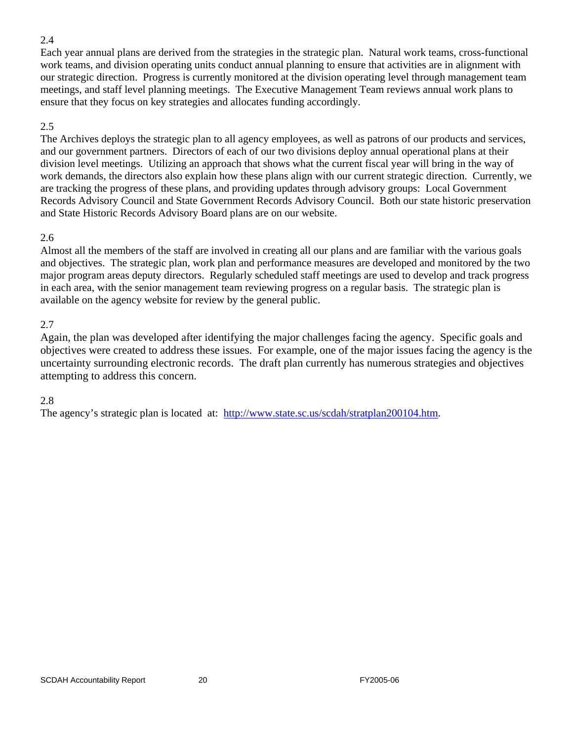Each year annual plans are derived from the strategies in the strategic plan. Natural work teams, cross-functional work teams, and division operating units conduct annual planning to ensure that activities are in alignment with our strategic direction. Progress is currently monitored at the division operating level through management team meetings, and staff level planning meetings. The Executive Management Team reviews annual work plans to ensure that they focus on key strategies and allocates funding accordingly.

#### 2.5

The Archives deploys the strategic plan to all agency employees, as well as patrons of our products and services, and our government partners. Directors of each of our two divisions deploy annual operational plans at their division level meetings. Utilizing an approach that shows what the current fiscal year will bring in the way of work demands, the directors also explain how these plans align with our current strategic direction. Currently, we are tracking the progress of these plans, and providing updates through advisory groups: Local Government Records Advisory Council and State Government Records Advisory Council. Both our state historic preservation and State Historic Records Advisory Board plans are on our website.

#### 2.6

Almost all the members of the staff are involved in creating all our plans and are familiar with the various goals and objectives. The strategic plan, work plan and performance measures are developed and monitored by the two major program areas deputy directors. Regularly scheduled staff meetings are used to develop and track progress in each area, with the senior management team reviewing progress on a regular basis. The strategic plan is available on the agency website for review by the general public.

#### 2.7

Again, the plan was developed after identifying the major challenges facing the agency. Specific goals and objectives were created to address these issues. For example, one of the major issues facing the agency is the uncertainty surrounding electronic records. The draft plan currently has numerous strategies and objectives attempting to address this concern.

#### 2.8

The agency's strategic plan is located at: <http://www.state.sc.us/scdah/stratplan200104.htm>.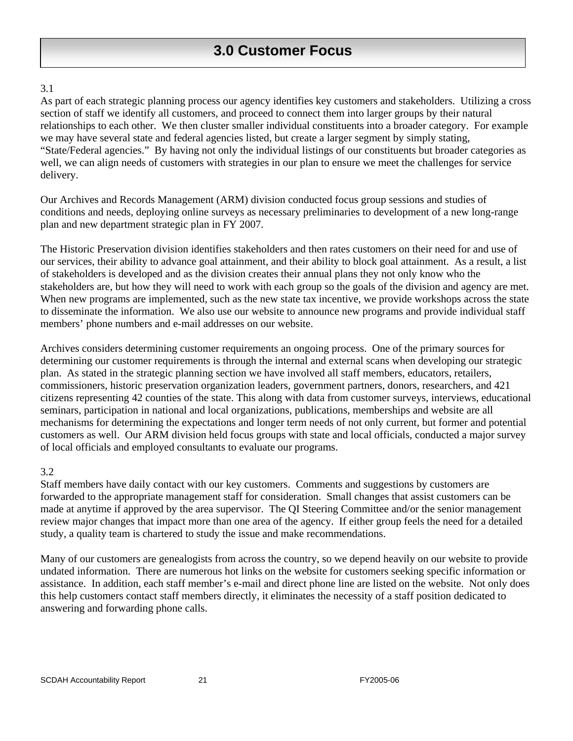As part of each strategic planning process our agency identifies key customers and stakeholders. Utilizing a cross section of staff we identify all customers, and proceed to connect them into larger groups by their natural relationships to each other. We then cluster smaller individual constituents into a broader category. For example we may have several state and federal agencies listed, but create a larger segment by simply stating, "State/Federal agencies." By having not only the individual listings of our constituents but broader categories as well, we can align needs of customers with strategies in our plan to ensure we meet the challenges for service delivery.

Our Archives and Records Management (ARM) division conducted focus group sessions and studies of conditions and needs, deploying online surveys as necessary preliminaries to development of a new long-range plan and new department strategic plan in FY 2007.

The Historic Preservation division identifies stakeholders and then rates customers on their need for and use of our services, their ability to advance goal attainment, and their ability to block goal attainment. As a result, a list of stakeholders is developed and as the division creates their annual plans they not only know who the stakeholders are, but how they will need to work with each group so the goals of the division and agency are met. When new programs are implemented, such as the new state tax incentive, we provide workshops across the state to disseminate the information. We also use our website to announce new programs and provide individual staff members' phone numbers and e-mail addresses on our website.

Archives considers determining customer requirements an ongoing process. One of the primary sources for determining our customer requirements is through the internal and external scans when developing our strategic plan. As stated in the strategic planning section we have involved all staff members, educators, retailers, commissioners, historic preservation organization leaders, government partners, donors, researchers, and 421 citizens representing 42 counties of the state. This along with data from customer surveys, interviews, educational seminars, participation in national and local organizations, publications, memberships and website are all mechanisms for determining the expectations and longer term needs of not only current, but former and potential customers as well. Our ARM division held focus groups with state and local officials, conducted a major survey of local officials and employed consultants to evaluate our programs.

#### 3.2

Staff members have daily contact with our key customers. Comments and suggestions by customers are forwarded to the appropriate management staff for consideration. Small changes that assist customers can be made at anytime if approved by the area supervisor. The QI Steering Committee and/or the senior management review major changes that impact more than one area of the agency. If either group feels the need for a detailed study, a quality team is chartered to study the issue and make recommendations.

Many of our customers are genealogists from across the country, so we depend heavily on our website to provide undated information. There are numerous hot links on the website for customers seeking specific information or assistance. In addition, each staff member's e-mail and direct phone line are listed on the website. Not only does this help customers contact staff members directly, it eliminates the necessity of a staff position dedicated to answering and forwarding phone calls.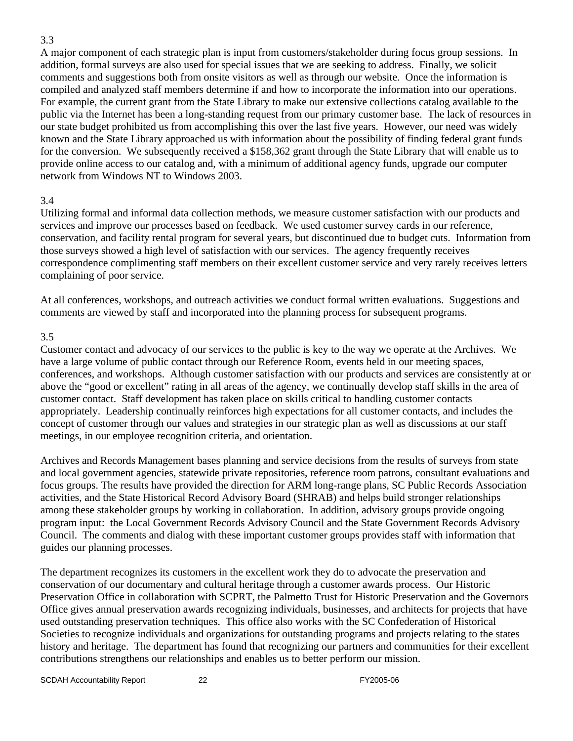A major component of each strategic plan is input from customers/stakeholder during focus group sessions. In addition, formal surveys are also used for special issues that we are seeking to address. Finally, we solicit comments and suggestions both from onsite visitors as well as through our website. Once the information is compiled and analyzed staff members determine if and how to incorporate the information into our operations. For example, the current grant from the State Library to make our extensive collections catalog available to the public via the Internet has been a long-standing request from our primary customer base. The lack of resources in our state budget prohibited us from accomplishing this over the last five years. However, our need was widely known and the State Library approached us with information about the possibility of finding federal grant funds for the conversion. We subsequently received a \$158,362 grant through the State Library that will enable us to provide online access to our catalog and, with a minimum of additional agency funds, upgrade our computer network from Windows NT to Windows 2003.

#### 3.4

Utilizing formal and informal data collection methods, we measure customer satisfaction with our products and services and improve our processes based on feedback. We used customer survey cards in our reference, conservation, and facility rental program for several years, but discontinued due to budget cuts. Information from those surveys showed a high level of satisfaction with our services. The agency frequently receives correspondence complimenting staff members on their excellent customer service and very rarely receives letters complaining of poor service.

At all conferences, workshops, and outreach activities we conduct formal written evaluations. Suggestions and comments are viewed by staff and incorporated into the planning process for subsequent programs.

#### 3.5

Customer contact and advocacy of our services to the public is key to the way we operate at the Archives. We have a large volume of public contact through our Reference Room, events held in our meeting spaces, conferences, and workshops. Although customer satisfaction with our products and services are consistently at or above the "good or excellent" rating in all areas of the agency, we continually develop staff skills in the area of customer contact. Staff development has taken place on skills critical to handling customer contacts appropriately. Leadership continually reinforces high expectations for all customer contacts, and includes the concept of customer through our values and strategies in our strategic plan as well as discussions at our staff meetings, in our employee recognition criteria, and orientation.

Archives and Records Management bases planning and service decisions from the results of surveys from state and local government agencies, statewide private repositories, reference room patrons, consultant evaluations and focus groups. The results have provided the direction for ARM long-range plans, SC Public Records Association activities, and the State Historical Record Advisory Board (SHRAB) and helps build stronger relationships among these stakeholder groups by working in collaboration. In addition, advisory groups provide ongoing program input: the Local Government Records Advisory Council and the State Government Records Advisory Council. The comments and dialog with these important customer groups provides staff with information that guides our planning processes.

The department recognizes its customers in the excellent work they do to advocate the preservation and conservation of our documentary and cultural heritage through a customer awards process. Our Historic Preservation Office in collaboration with SCPRT, the Palmetto Trust for Historic Preservation and the Governors Office gives annual preservation awards recognizing individuals, businesses, and architects for projects that have used outstanding preservation techniques. This office also works with the SC Confederation of Historical Societies to recognize individuals and organizations for outstanding programs and projects relating to the states history and heritage. The department has found that recognizing our partners and communities for their excellent contributions strengthens our relationships and enables us to better perform our mission.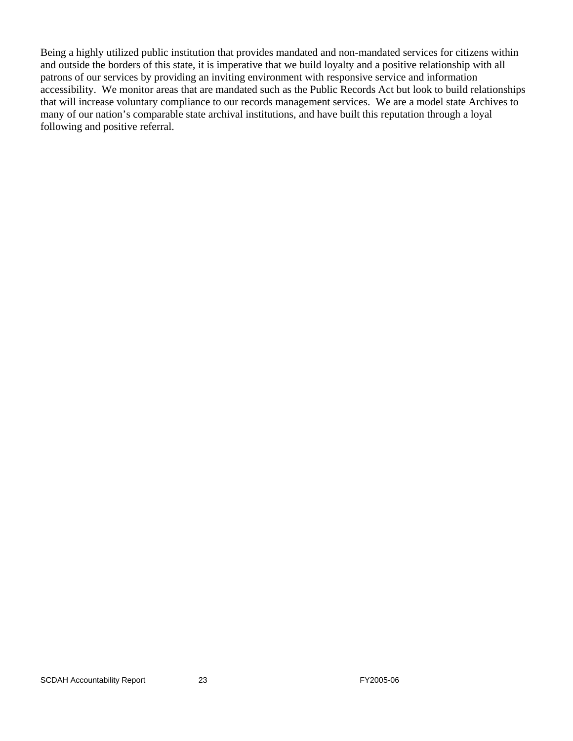Being a highly utilized public institution that provides mandated and non-mandated services for citizens within and outside the borders of this state, it is imperative that we build loyalty and a positive relationship with all patrons of our services by providing an inviting environment with responsive service and information accessibility. We monitor areas that are mandated such as the Public Records Act but look to build relationships that will increase voluntary compliance to our records management services. We are a model state Archives to many of our nation's comparable state archival institutions, and have built this reputation through a loyal following and positive referral.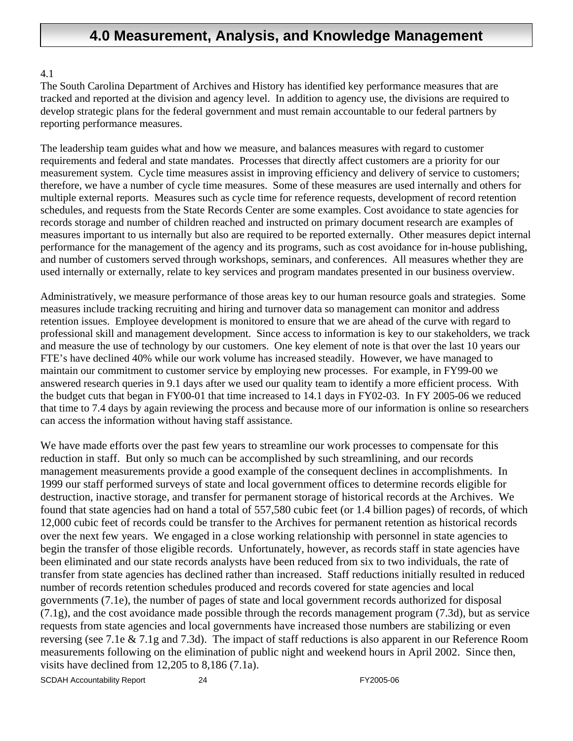## **4.0 Measurement, Analysis, and Knowledge Management**

#### 4.1

The South Carolina Department of Archives and History has identified key performance measures that are tracked and reported at the division and agency level. In addition to agency use, the divisions are required to develop strategic plans for the federal government and must remain accountable to our federal partners by reporting performance measures.

The leadership team guides what and how we measure, and balances measures with regard to customer requirements and federal and state mandates. Processes that directly affect customers are a priority for our measurement system. Cycle time measures assist in improving efficiency and delivery of service to customers; therefore, we have a number of cycle time measures. Some of these measures are used internally and others for multiple external reports. Measures such as cycle time for reference requests, development of record retention schedules, and requests from the State Records Center are some examples. Cost avoidance to state agencies for records storage and number of children reached and instructed on primary document research are examples of measures important to us internally but also are required to be reported externally. Other measures depict internal performance for the management of the agency and its programs, such as cost avoidance for in-house publishing, and number of customers served through workshops, seminars, and conferences. All measures whether they are used internally or externally, relate to key services and program mandates presented in our business overview.

Administratively, we measure performance of those areas key to our human resource goals and strategies. Some measures include tracking recruiting and hiring and turnover data so management can monitor and address retention issues. Employee development is monitored to ensure that we are ahead of the curve with regard to professional skill and management development. Since access to information is key to our stakeholders, we track and measure the use of technology by our customers. One key element of note is that over the last 10 years our FTE's have declined 40% while our work volume has increased steadily. However, we have managed to maintain our commitment to customer service by employing new processes. For example, in FY99-00 we answered research queries in 9.1 days after we used our quality team to identify a more efficient process. With the budget cuts that began in FY00-01 that time increased to 14.1 days in FY02-03. In FY 2005-06 we reduced that time to 7.4 days by again reviewing the process and because more of our information is online so researchers can access the information without having staff assistance.

We have made efforts over the past few years to streamline our work processes to compensate for this reduction in staff. But only so much can be accomplished by such streamlining, and our records management measurements provide a good example of the consequent declines in accomplishments. In 1999 our staff performed surveys of state and local government offices to determine records eligible for destruction, inactive storage, and transfer for permanent storage of historical records at the Archives. We found that state agencies had on hand a total of 557,580 cubic feet (or 1.4 billion pages) of records, of which 12,000 cubic feet of records could be transfer to the Archives for permanent retention as historical records over the next few years. We engaged in a close working relationship with personnel in state agencies to begin the transfer of those eligible records. Unfortunately, however, as records staff in state agencies have been eliminated and our state records analysts have been reduced from six to two individuals, the rate of transfer from state agencies has declined rather than increased. Staff reductions initially resulted in reduced number of records retention schedules produced and records covered for state agencies and local governments (7.1e), the number of pages of state and local government records authorized for disposal (7.1g), and the cost avoidance made possible through the records management program (7.3d), but as service requests from state agencies and local governments have increased those numbers are stabilizing or even reversing (see 7.1e & 7.1g and 7.3d). The impact of staff reductions is also apparent in our Reference Room measurements following on the elimination of public night and weekend hours in April 2002. Since then, visits have declined from 12,205 to 8,186 (7.1a).

SCDAH Accountability Report 24 CDAH Accountability Report 24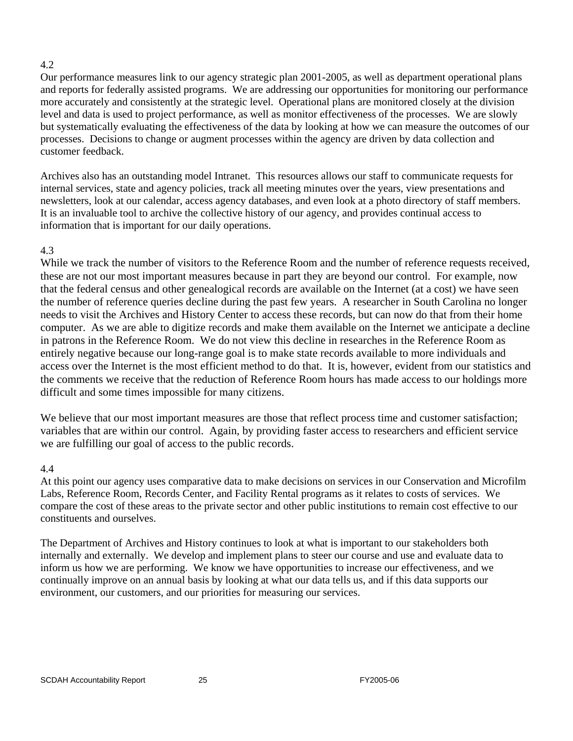Our performance measures link to our agency strategic plan 2001-2005, as well as department operational plans and reports for federally assisted programs. We are addressing our opportunities for monitoring our performance more accurately and consistently at the strategic level. Operational plans are monitored closely at the division level and data is used to project performance, as well as monitor effectiveness of the processes. We are slowly but systematically evaluating the effectiveness of the data by looking at how we can measure the outcomes of our processes. Decisions to change or augment processes within the agency are driven by data collection and customer feedback.

Archives also has an outstanding model Intranet. This resources allows our staff to communicate requests for internal services, state and agency policies, track all meeting minutes over the years, view presentations and newsletters, look at our calendar, access agency databases, and even look at a photo directory of staff members. It is an invaluable tool to archive the collective history of our agency, and provides continual access to information that is important for our daily operations.

#### 4.3

While we track the number of visitors to the Reference Room and the number of reference requests received, these are not our most important measures because in part they are beyond our control. For example, now that the federal census and other genealogical records are available on the Internet (at a cost) we have seen the number of reference queries decline during the past few years. A researcher in South Carolina no longer needs to visit the Archives and History Center to access these records, but can now do that from their home computer. As we are able to digitize records and make them available on the Internet we anticipate a decline in patrons in the Reference Room. We do not view this decline in researches in the Reference Room as entirely negative because our long-range goal is to make state records available to more individuals and access over the Internet is the most efficient method to do that. It is, however, evident from our statistics and the comments we receive that the reduction of Reference Room hours has made access to our holdings more difficult and some times impossible for many citizens.

We believe that our most important measures are those that reflect process time and customer satisfaction; variables that are within our control. Again, by providing faster access to researchers and efficient service we are fulfilling our goal of access to the public records.

#### 4.4

At this point our agency uses comparative data to make decisions on services in our Conservation and Microfilm Labs, Reference Room, Records Center, and Facility Rental programs as it relates to costs of services. We compare the cost of these areas to the private sector and other public institutions to remain cost effective to our constituents and ourselves.

The Department of Archives and History continues to look at what is important to our stakeholders both internally and externally. We develop and implement plans to steer our course and use and evaluate data to inform us how we are performing. We know we have opportunities to increase our effectiveness, and we continually improve on an annual basis by looking at what our data tells us, and if this data supports our environment, our customers, and our priorities for measuring our services.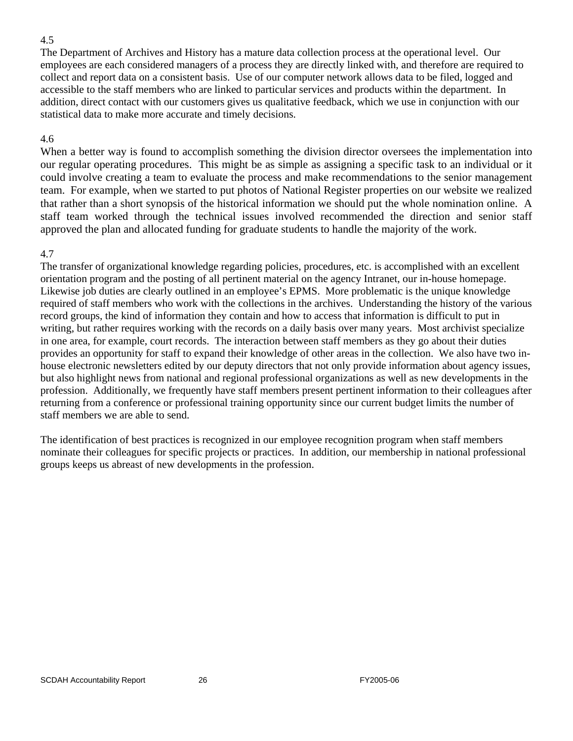The Department of Archives and History has a mature data collection process at the operational level. Our employees are each considered managers of a process they are directly linked with, and therefore are required to collect and report data on a consistent basis. Use of our computer network allows data to be filed, logged and accessible to the staff members who are linked to particular services and products within the department. In addition, direct contact with our customers gives us qualitative feedback, which we use in conjunction with our statistical data to make more accurate and timely decisions.

#### 4.6

When a better way is found to accomplish something the division director oversees the implementation into our regular operating procedures. This might be as simple as assigning a specific task to an individual or it could involve creating a team to evaluate the process and make recommendations to the senior management team. For example, when we started to put photos of National Register properties on our website we realized that rather than a short synopsis of the historical information we should put the whole nomination online. A staff team worked through the technical issues involved recommended the direction and senior staff approved the plan and allocated funding for graduate students to handle the majority of the work.

#### 4.7

The transfer of organizational knowledge regarding policies, procedures, etc. is accomplished with an excellent orientation program and the posting of all pertinent material on the agency Intranet, our in-house homepage. Likewise job duties are clearly outlined in an employee's EPMS. More problematic is the unique knowledge required of staff members who work with the collections in the archives. Understanding the history of the various record groups, the kind of information they contain and how to access that information is difficult to put in writing, but rather requires working with the records on a daily basis over many years. Most archivist specialize in one area, for example, court records. The interaction between staff members as they go about their duties provides an opportunity for staff to expand their knowledge of other areas in the collection. We also have two inhouse electronic newsletters edited by our deputy directors that not only provide information about agency issues, but also highlight news from national and regional professional organizations as well as new developments in the profession. Additionally, we frequently have staff members present pertinent information to their colleagues after returning from a conference or professional training opportunity since our current budget limits the number of staff members we are able to send.

The identification of best practices is recognized in our employee recognition program when staff members nominate their colleagues for specific projects or practices. In addition, our membership in national professional groups keeps us abreast of new developments in the profession.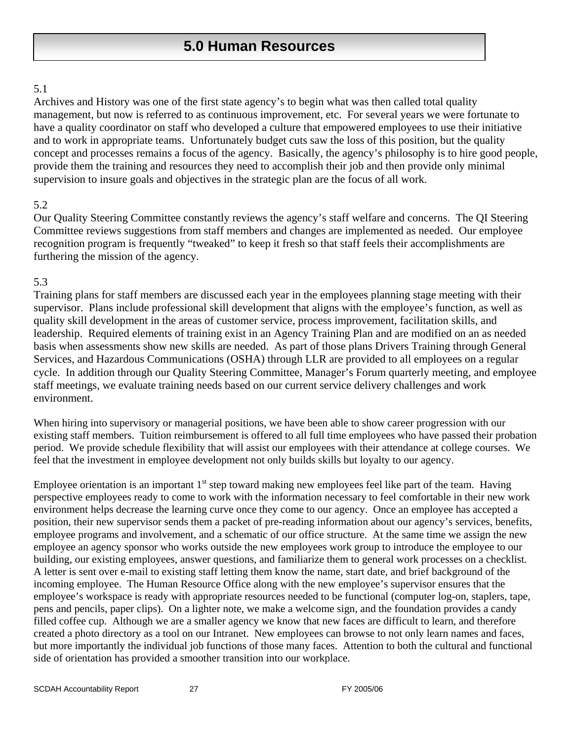# **5.0 Human Resources**

#### 5.1

Archives and History was one of the first state agency's to begin what was then called total quality management, but now is referred to as continuous improvement, etc. For several years we were fortunate to have a quality coordinator on staff who developed a culture that empowered employees to use their initiative and to work in appropriate teams. Unfortunately budget cuts saw the loss of this position, but the quality concept and processes remains a focus of the agency. Basically, the agency's philosophy is to hire good people, provide them the training and resources they need to accomplish their job and then provide only minimal supervision to insure goals and objectives in the strategic plan are the focus of all work.

#### 5.2

Our Quality Steering Committee constantly reviews the agency's staff welfare and concerns. The QI Steering Committee reviews suggestions from staff members and changes are implemented as needed. Our employee recognition program is frequently "tweaked" to keep it fresh so that staff feels their accomplishments are furthering the mission of the agency.

#### 5.3

Training plans for staff members are discussed each year in the employees planning stage meeting with their supervisor. Plans include professional skill development that aligns with the employee's function, as well as quality skill development in the areas of customer service, process improvement, facilitation skills, and leadership. Required elements of training exist in an Agency Training Plan and are modified on an as needed basis when assessments show new skills are needed. As part of those plans Drivers Training through General Services, and Hazardous Communications (OSHA) through LLR are provided to all employees on a regular cycle. In addition through our Quality Steering Committee, Manager's Forum quarterly meeting, and employee staff meetings, we evaluate training needs based on our current service delivery challenges and work environment.

When hiring into supervisory or managerial positions, we have been able to show career progression with our existing staff members. Tuition reimbursement is offered to all full time employees who have passed their probation period. We provide schedule flexibility that will assist our employees with their attendance at college courses. We feel that the investment in employee development not only builds skills but loyalty to our agency.

Employee orientation is an important  $1<sup>st</sup>$  step toward making new employees feel like part of the team. Having perspective employees ready to come to work with the information necessary to feel comfortable in their new work environment helps decrease the learning curve once they come to our agency. Once an employee has accepted a position, their new supervisor sends them a packet of pre-reading information about our agency's services, benefits, employee programs and involvement, and a schematic of our office structure. At the same time we assign the new employee an agency sponsor who works outside the new employees work group to introduce the employee to our building, our existing employees, answer questions, and familiarize them to general work processes on a checklist. A letter is sent over e-mail to existing staff letting them know the name, start date, and brief background of the incoming employee. The Human Resource Office along with the new employee's supervisor ensures that the employee's workspace is ready with appropriate resources needed to be functional (computer log-on, staplers, tape, pens and pencils, paper clips). On a lighter note, we make a welcome sign, and the foundation provides a candy filled coffee cup. Although we are a smaller agency we know that new faces are difficult to learn, and therefore created a photo directory as a tool on our Intranet. New employees can browse to not only learn names and faces, but more importantly the individual job functions of those many faces. Attention to both the cultural and functional side of orientation has provided a smoother transition into our workplace.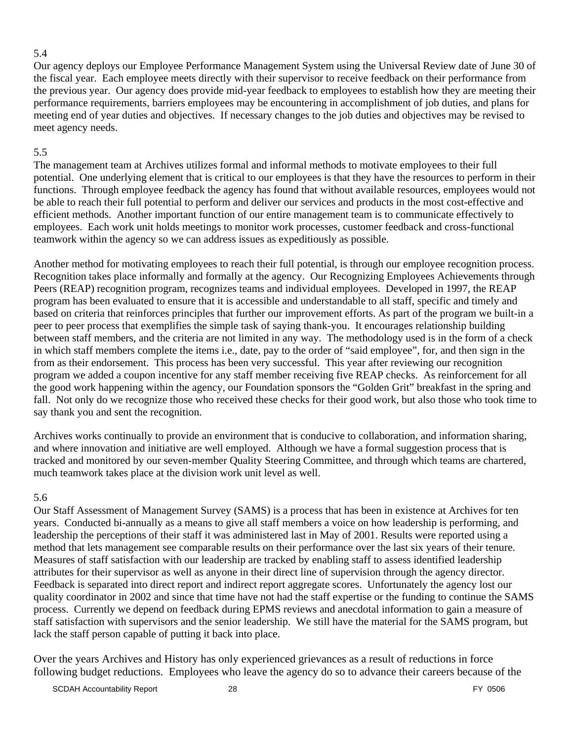Our agency deploys our Employee Performance Management System using the Universal Review date of June 30 of the fiscal year. Each employee meets directly with their supervisor to receive feedback on their performance from the previous year. Our agency does provide mid-year feedback to employees to establish how they are meeting their performance requirements, barriers employees may be encountering in accomplishment of job duties, and plans for meeting end of year duties and objectives. If necessary changes to the job duties and objectives may be revised to meet agency needs.

#### 5.5

The management team at Archives utilizes formal and informal methods to motivate employees to their full potential. One underlying element that is critical to our employees is that they have the resources to perform in their functions. Through employee feedback the agency has found that without available resources, employees would not be able to reach their full potential to perform and deliver our services and products in the most cost-effective and efficient methods. Another important function of our entire management team is to communicate effectively to employees. Each work unit holds meetings to monitor work processes, customer feedback and cross-functional teamwork within the agency so we can address issues as expeditiously as possible.

Another method for motivating employees to reach their full potential, is through our employee recognition process. Recognition takes place informally and formally at the agency. Our Recognizing Employees Achievements through Peers (REAP) recognition program, recognizes teams and individual employees. Developed in 1997, the REAP program has been evaluated to ensure that it is accessible and understandable to all staff, specific and timely and based on criteria that reinforces principles that further our improvement efforts. As part of the program we built-in a peer to peer process that exemplifies the simple task of saying thank-you. It encourages relationship building between staff members, and the criteria are not limited in any way. The methodology used is in the form of a check in which staff members complete the items i.e., date, pay to the order of "said employee", for, and then sign in the from as their endorsement. This process has been very successful. This year after reviewing our recognition program we added a coupon incentive for any staff member receiving five REAP checks. As reinforcement for all the good work happening within the agency, our Foundation sponsors the "Golden Grit" breakfast in the spring and fall. Not only do we recognize those who received these checks for their good work, but also those who took time to say thank you and sent the recognition.

Archives works continually to provide an environment that is conducive to collaboration, and information sharing, and where innovation and initiative are well employed. Although we have a formal suggestion process that is tracked and monitored by our seven-member Quality Steering Committee, and through which teams are chartered, much teamwork takes place at the division work unit level as well.

#### 5.6

Our Staff Assessment of Management Survey (SAMS) is a process that has been in existence at Archives for ten years. Conducted bi-annually as a means to give all staff members a voice on how leadership is performing, and leadership the perceptions of their staff it was administered last in May of 2001. Results were reported using a method that lets management see comparable results on their performance over the last six years of their tenure. Measures of staff satisfaction with our leadership are tracked by enabling staff to assess identified leadership attributes for their supervisor as well as anyone in their direct line of supervision through the agency director. Feedback is separated into direct report and indirect report aggregate scores. Unfortunately the agency lost our quality coordinator in 2002 and since that time have not had the staff expertise or the funding to continue the SAMS process. Currently we depend on feedback during EPMS reviews and anecdotal information to gain a measure of staff satisfaction with supervisors and the senior leadership. We still have the material for the SAMS program, but lack the staff person capable of putting it back into place.

Over the years Archives and History has only experienced grievances as a result of reductions in force following budget reductions. Employees who leave the agency do so to advance their careers because of the

SCDAH Accountability Report 28 and 28 FY 0506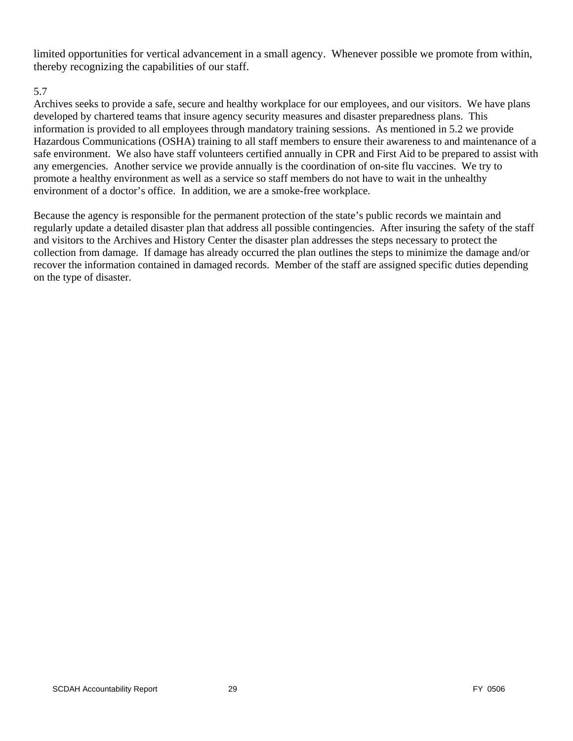limited opportunities for vertical advancement in a small agency. Whenever possible we promote from within, thereby recognizing the capabilities of our staff.

#### 5.7

Archives seeks to provide a safe, secure and healthy workplace for our employees, and our visitors. We have plans developed by chartered teams that insure agency security measures and disaster preparedness plans. This information is provided to all employees through mandatory training sessions. As mentioned in 5.2 we provide Hazardous Communications (OSHA) training to all staff members to ensure their awareness to and maintenance of a safe environment. We also have staff volunteers certified annually in CPR and First Aid to be prepared to assist with any emergencies. Another service we provide annually is the coordination of on-site flu vaccines. We try to promote a healthy environment as well as a service so staff members do not have to wait in the unhealthy environment of a doctor's office. In addition, we are a smoke-free workplace.

Because the agency is responsible for the permanent protection of the state's public records we maintain and regularly update a detailed disaster plan that address all possible contingencies. After insuring the safety of the staff and visitors to the Archives and History Center the disaster plan addresses the steps necessary to protect the collection from damage. If damage has already occurred the plan outlines the steps to minimize the damage and/or recover the information contained in damaged records. Member of the staff are assigned specific duties depending on the type of disaster.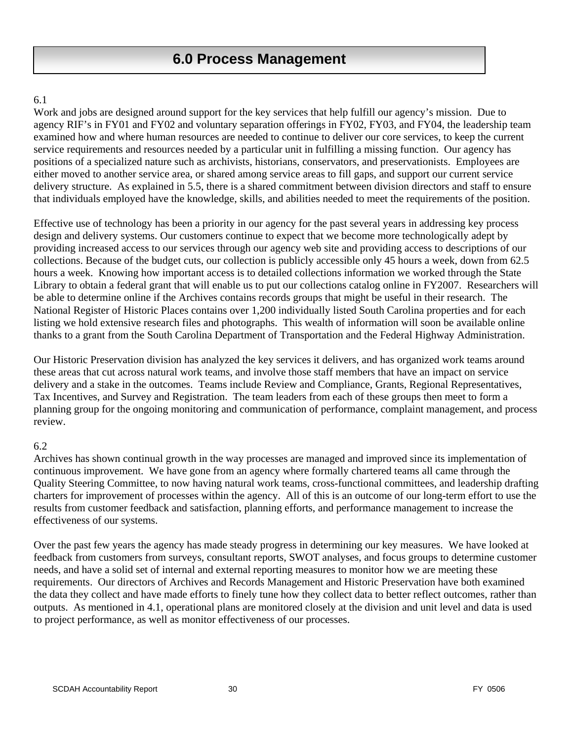### **6.0 Process Management**

#### 6.1

Work and jobs are designed around support for the key services that help fulfill our agency's mission. Due to agency RIF's in FY01 and FY02 and voluntary separation offerings in FY02, FY03, and FY04, the leadership team examined how and where human resources are needed to continue to deliver our core services, to keep the current service requirements and resources needed by a particular unit in fulfilling a missing function. Our agency has positions of a specialized nature such as archivists, historians, conservators, and preservationists. Employees are either moved to another service area, or shared among service areas to fill gaps, and support our current service delivery structure. As explained in 5.5, there is a shared commitment between division directors and staff to ensure that individuals employed have the knowledge, skills, and abilities needed to meet the requirements of the position.

Effective use of technology has been a priority in our agency for the past several years in addressing key process design and delivery systems. Our customers continue to expect that we become more technologically adept by providing increased access to our services through our agency web site and providing access to descriptions of our collections. Because of the budget cuts, our collection is publicly accessible only 45 hours a week, down from 62.5 hours a week. Knowing how important access is to detailed collections information we worked through the State Library to obtain a federal grant that will enable us to put our collections catalog online in FY2007. Researchers will be able to determine online if the Archives contains records groups that might be useful in their research. The National Register of Historic Places contains over 1,200 individually listed South Carolina properties and for each listing we hold extensive research files and photographs. This wealth of information will soon be available online thanks to a grant from the South Carolina Department of Transportation and the Federal Highway Administration.

Our Historic Preservation division has analyzed the key services it delivers, and has organized work teams around these areas that cut across natural work teams, and involve those staff members that have an impact on service delivery and a stake in the outcomes. Teams include Review and Compliance, Grants, Regional Representatives, Tax Incentives, and Survey and Registration. The team leaders from each of these groups then meet to form a planning group for the ongoing monitoring and communication of performance, complaint management, and process review.

#### 6.2

Archives has shown continual growth in the way processes are managed and improved since its implementation of continuous improvement. We have gone from an agency where formally chartered teams all came through the Quality Steering Committee, to now having natural work teams, cross-functional committees, and leadership drafting charters for improvement of processes within the agency. All of this is an outcome of our long-term effort to use the results from customer feedback and satisfaction, planning efforts, and performance management to increase the effectiveness of our systems.

Over the past few years the agency has made steady progress in determining our key measures. We have looked at feedback from customers from surveys, consultant reports, SWOT analyses, and focus groups to determine customer needs, and have a solid set of internal and external reporting measures to monitor how we are meeting these requirements. Our directors of Archives and Records Management and Historic Preservation have both examined the data they collect and have made efforts to finely tune how they collect data to better reflect outcomes, rather than outputs. As mentioned in 4.1, operational plans are monitored closely at the division and unit level and data is used to project performance, as well as monitor effectiveness of our processes.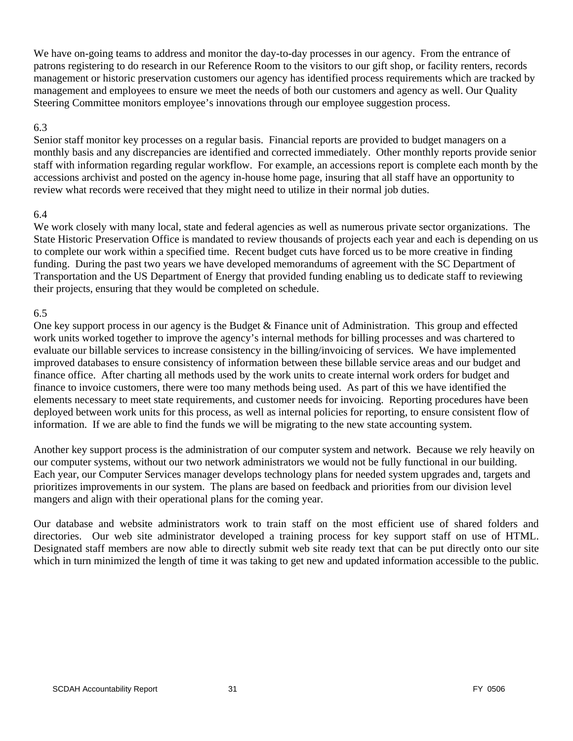We have on-going teams to address and monitor the day-to-day processes in our agency. From the entrance of patrons registering to do research in our Reference Room to the visitors to our gift shop, or facility renters, records management or historic preservation customers our agency has identified process requirements which are tracked by management and employees to ensure we meet the needs of both our customers and agency as well. Our Quality Steering Committee monitors employee's innovations through our employee suggestion process.

#### 6.3

Senior staff monitor key processes on a regular basis. Financial reports are provided to budget managers on a monthly basis and any discrepancies are identified and corrected immediately. Other monthly reports provide senior staff with information regarding regular workflow. For example, an accessions report is complete each month by the accessions archivist and posted on the agency in-house home page, insuring that all staff have an opportunity to review what records were received that they might need to utilize in their normal job duties.

#### 6.4

We work closely with many local, state and federal agencies as well as numerous private sector organizations. The State Historic Preservation Office is mandated to review thousands of projects each year and each is depending on us to complete our work within a specified time. Recent budget cuts have forced us to be more creative in finding funding. During the past two years we have developed memorandums of agreement with the SC Department of Transportation and the US Department of Energy that provided funding enabling us to dedicate staff to reviewing their projects, ensuring that they would be completed on schedule.

#### 6.5

One key support process in our agency is the Budget & Finance unit of Administration. This group and effected work units worked together to improve the agency's internal methods for billing processes and was chartered to evaluate our billable services to increase consistency in the billing/invoicing of services. We have implemented improved databases to ensure consistency of information between these billable service areas and our budget and finance office. After charting all methods used by the work units to create internal work orders for budget and finance to invoice customers, there were too many methods being used. As part of this we have identified the elements necessary to meet state requirements, and customer needs for invoicing. Reporting procedures have been deployed between work units for this process, as well as internal policies for reporting, to ensure consistent flow of information. If we are able to find the funds we will be migrating to the new state accounting system.

Another key support process is the administration of our computer system and network. Because we rely heavily on our computer systems, without our two network administrators we would not be fully functional in our building. Each year, our Computer Services manager develops technology plans for needed system upgrades and, targets and prioritizes improvements in our system. The plans are based on feedback and priorities from our division level mangers and align with their operational plans for the coming year.

Our database and website administrators work to train staff on the most efficient use of shared folders and directories. Our web site administrator developed a training process for key support staff on use of HTML. Designated staff members are now able to directly submit web site ready text that can be put directly onto our site which in turn minimized the length of time it was taking to get new and updated information accessible to the public.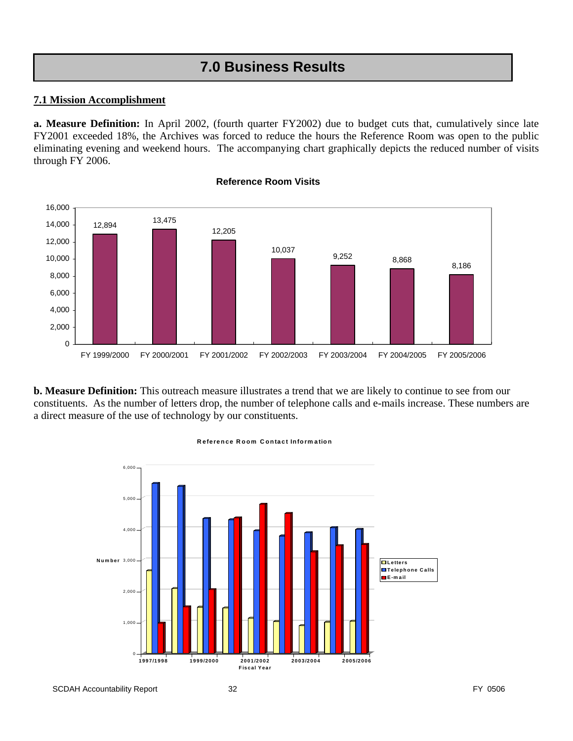# **7.0 Business Results**

#### **7.1 Mission Accomplishment**

**a. Measure Definition:** In April 2002, (fourth quarter FY2002) due to budget cuts that, cumulatively since late FY2001 exceeded 18%, the Archives was forced to reduce the hours the Reference Room was open to the public eliminating evening and weekend hours. The accompanying chart graphically depicts the reduced number of visits through FY 2006.



#### **Reference Room Visits**

**b. Measure Definition:** This outreach measure illustrates a trend that we are likely to continue to see from our constituents. As the number of letters drop, the number of telephone calls and e-mails increase. These numbers are a direct measure of the use of technology by our constituents.



#### **Reference Room Contact Inform ation**

SCDAH Accountability Report 32 **FY 0506** FY 0506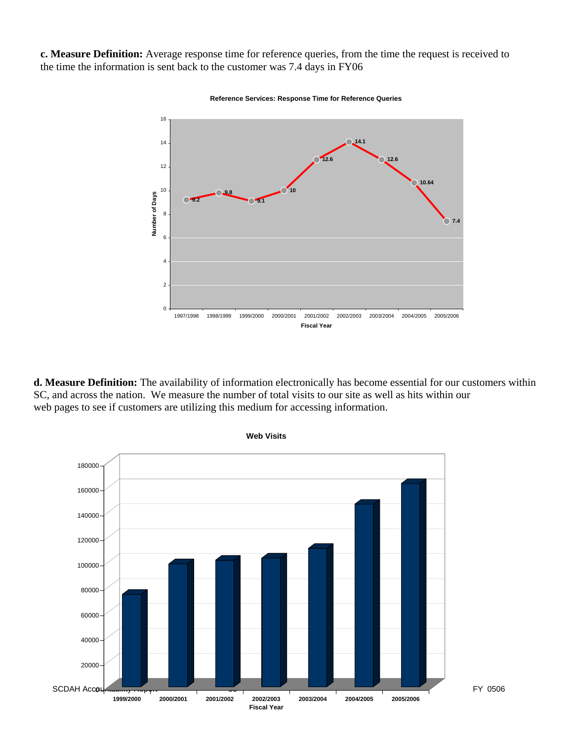**c. Measure Definition:** Average response time for reference queries, from the time the request is received to the time the information is sent back to the customer was 7.4 days in FY06



**Reference Services: Response Time for Reference Queries**

**d. Measure Definition:** The availability of information electronically has become essential for our customers within SC, and across the nation. We measure the number of total visits to our site as well as hits within our web pages to see if customers are utilizing this medium for accessing information.

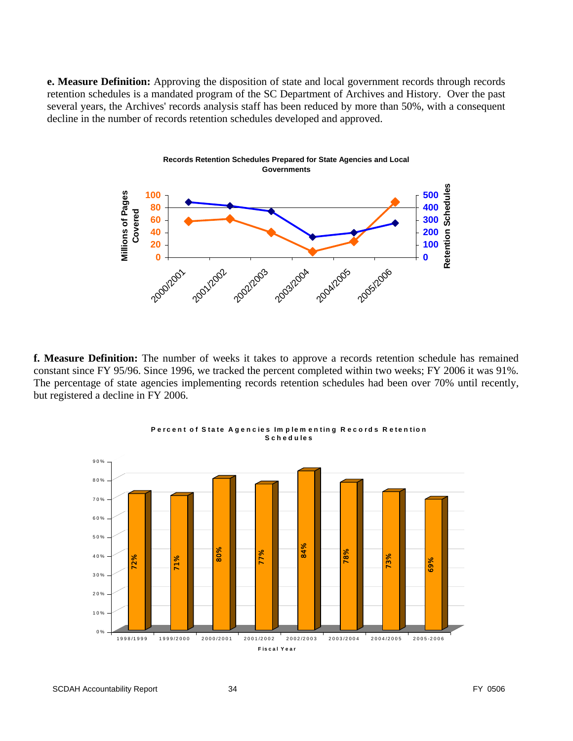**e. Measure Definition:** Approving the disposition of state and local government records through records retention schedules is a mandated program of the SC Department of Archives and History. Over the past several years, the Archives' records analysis staff has been reduced by more than 50%, with a consequent decline in the number of records retention schedules developed and approved.



**f. Measure Definition:** The number of weeks it takes to approve a records retention schedule has remained constant since FY 95/96. Since 1996, we tracked the percent completed within two weeks; FY 2006 it was 91%. The percentage of state agencies implementing records retention schedules had been over 70% until recently, but registered a decline in FY 2006.





SCDAH Accountability Report 34 **FY 0506** FY 0506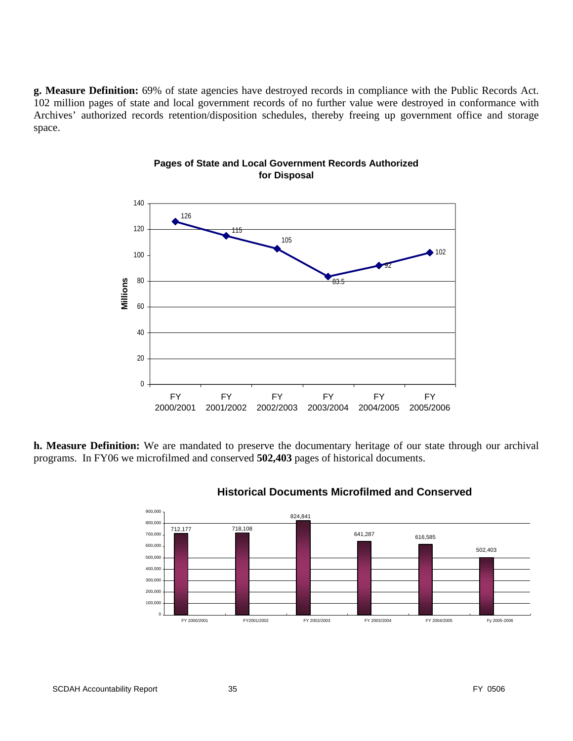**g. Measure Definition:** 69% of state agencies have destroyed records in compliance with the Public Records Act. 102 million pages of state and local government records of no further value were destroyed in conformance with Archives' authorized records retention/disposition schedules, thereby freeing up government office and storage space.



#### **Pages of State and Local Government Records Authorized for Disposal**

**h. Measure Definition:** We are mandated to preserve the documentary heritage of our state through our archival programs. In FY06 we microfilmed and conserved **502,403** pages of historical documents.



#### **Historical Documents Microfilmed and Conserved**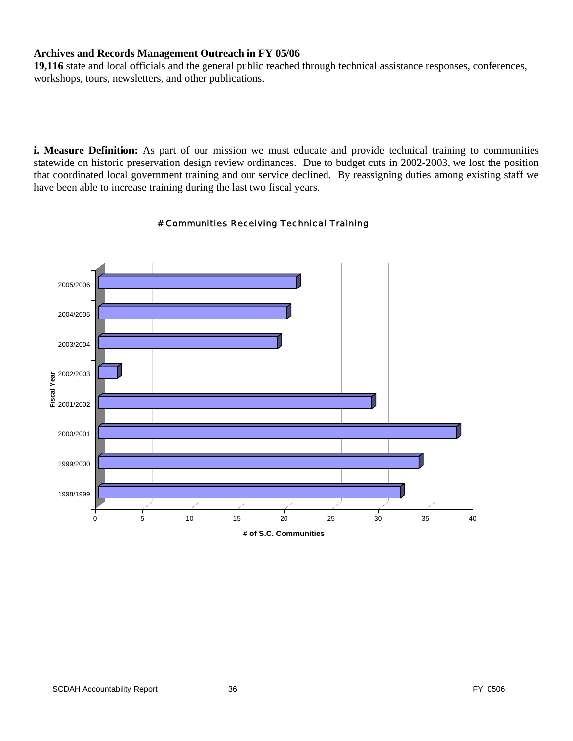#### **Archives and Records Management Outreach in FY 05/06**

**19,116** state and local officials and the general public reached through technical assistance responses, conferences, workshops, tours, newsletters, and other publications.

**i. Measure Definition:** As part of our mission we must educate and provide technical training to communities statewide on historic preservation design review ordinances. Due to budget cuts in 2002-2003, we lost the position that coordinated local government training and our service declined. By reassigning duties among existing staff we have been able to increase training during the last two fiscal years.



#### # Communities Receiving Technical Training

**# of S.C. Communities**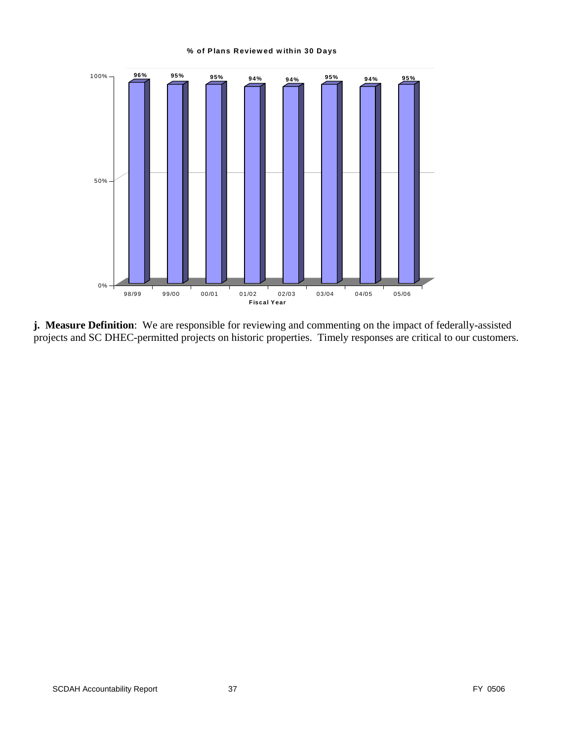#### **% of Plans Reviewed within 30 Days**



**j. Measure Definition**: We are responsible for reviewing and commenting on the impact of federally-assisted projects and SC DHEC-permitted projects on historic properties. Timely responses are critical to our customers.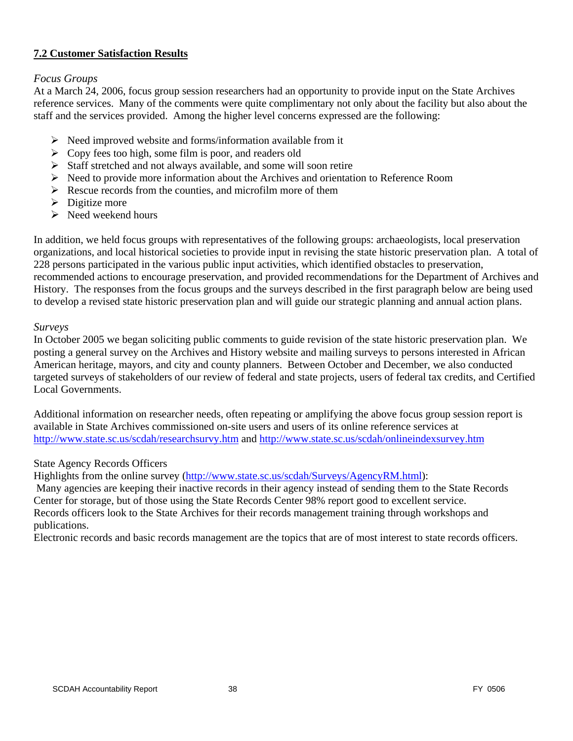#### **7.2 Customer Satisfaction Results**

#### *Focus Groups*

At a March 24, 2006, focus group session researchers had an opportunity to provide input on the State Archives reference services. Many of the comments were quite complimentary not only about the facility but also about the staff and the services provided. Among the higher level concerns expressed are the following:

- $\triangleright$  Need improved website and forms/information available from it
- $\triangleright$  Copy fees too high, some film is poor, and readers old
- $\triangleright$  Staff stretched and not always available, and some will soon retire
- $\triangleright$  Need to provide more information about the Archives and orientation to Reference Room
- $\triangleright$  Rescue records from the counties, and microfilm more of them
- $\triangleright$  Digitize more
- $\triangleright$  Need weekend hours

In addition, we held focus groups with representatives of the following groups: archaeologists, local preservation organizations, and local historical societies to provide input in revising the state historic preservation plan. A total of 228 persons participated in the various public input activities, which identified obstacles to preservation, recommended actions to encourage preservation, and provided recommendations for the Department of Archives and History. The responses from the focus groups and the surveys described in the first paragraph below are being used to develop a revised state historic preservation plan and will guide our strategic planning and annual action plans.

#### *Surveys*

In October 2005 we began soliciting public comments to guide revision of the state historic preservation plan. We posting a general survey on the Archives and History website and mailing surveys to persons interested in African American heritage, mayors, and city and county planners. Between October and December, we also conducted targeted surveys of stakeholders of our review of federal and state projects, users of federal tax credits, and Certified Local Governments.

Additional information on researcher needs, often repeating or amplifying the above focus group session report is available in State Archives commissioned on-site users and users of its online reference services at <http://www.state.sc.us/scdah/researchsurvy.htm> and<http://www.state.sc.us/scdah/onlineindexsurvey.htm>

#### State Agency Records Officers

Highlights from the online survey ([http://www.state.sc.us/scdah/Surveys/AgencyRM.html\)](http://www.state.sc.us/scdah/Surveys/AgencyRM.html):

 Many agencies are keeping their inactive records in their agency instead of sending them to the State Records Center for storage, but of those using the State Records Center 98% report good to excellent service. Records officers look to the State Archives for their records management training through workshops and publications.

Electronic records and basic records management are the topics that are of most interest to state records officers.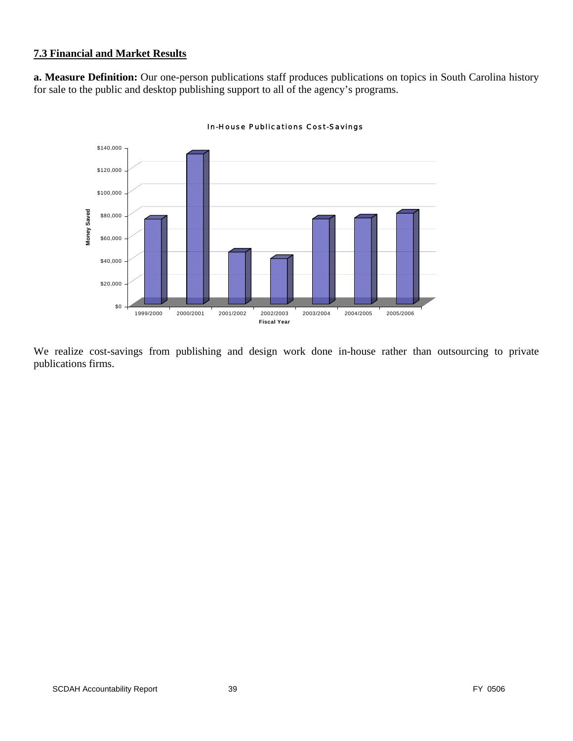#### **7.3 Financial and Market Results**

**a. Measure Definition:** Our one-person publications staff produces publications on topics in South Carolina history for sale to the public and desktop publishing support to all of the agency's programs.



In-House Publications Cost-Savings

We realize cost-savings from publishing and design work done in-house rather than outsourcing to private publications firms.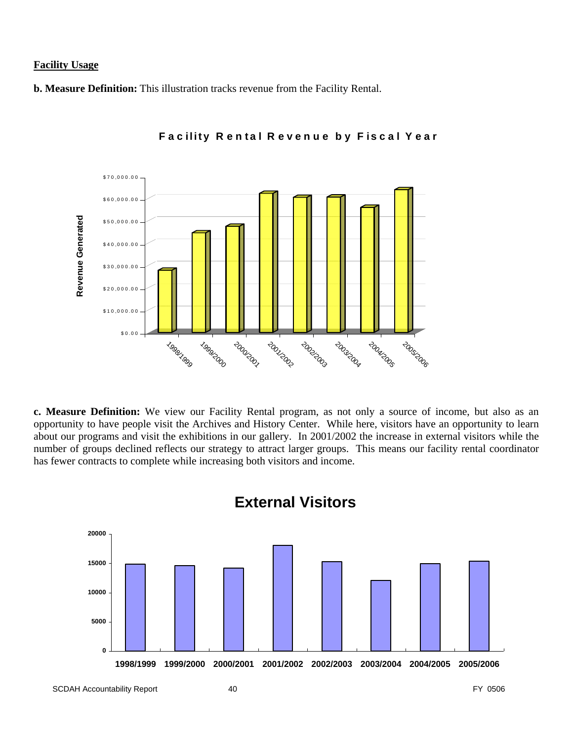#### **Facility Usage**

**b. Measure Definition:** This illustration tracks revenue from the Facility Rental.



**F ac ility R e n tal R even u e b y F isc al Y ear**

**c. Measure Definition:** We view our Facility Rental program, as not only a source of income, but also as an opportunity to have people visit the Archives and History Center. While here, visitors have an opportunity to learn about our programs and visit the exhibitions in our gallery. In 2001/2002 the increase in external visitors while the number of groups declined reflects our strategy to attract larger groups. This means our facility rental coordinator has fewer contracts to complete while increasing both visitors and income.



# **External Visitors**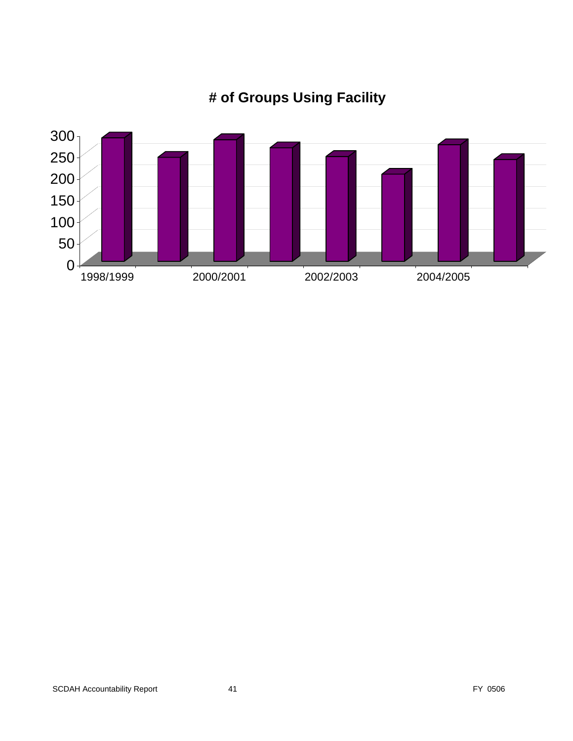

# **# of Groups Using Facility**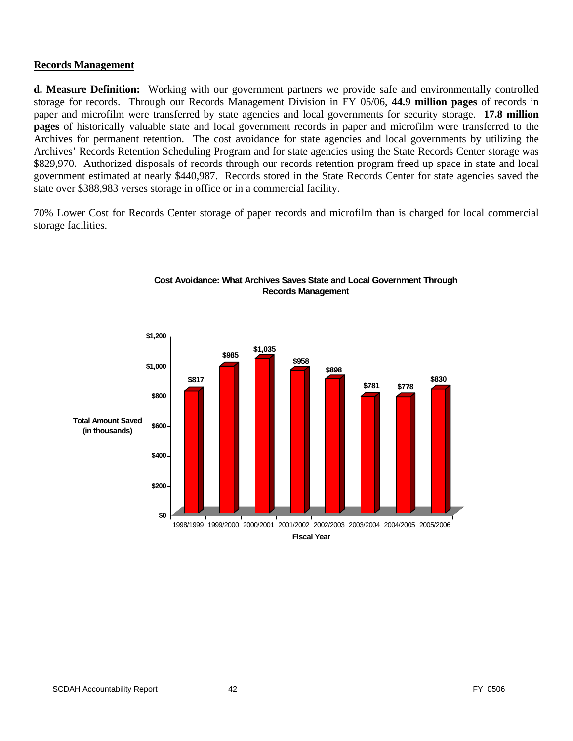#### **Records Management**

**d. Measure Definition:** Working with our government partners we provide safe and environmentally controlled storage for records. Through our Records Management Division in FY 05/06, **44.9 million pages** of records in paper and microfilm were transferred by state agencies and local governments for security storage. **17.8 million pages** of historically valuable state and local government records in paper and microfilm were transferred to the Archives for permanent retention. The cost avoidance for state agencies and local governments by utilizing the Archives' Records Retention Scheduling Program and for state agencies using the State Records Center storage was \$829,970. Authorized disposals of records through our records retention program freed up space in state and local government estimated at nearly \$440,987. Records stored in the State Records Center for state agencies saved the state over \$388,983 verses storage in office or in a commercial facility.

70% Lower Cost for Records Center storage of paper records and microfilm than is charged for local commercial storage facilities.



#### **Cost Avoidance: What Archives Saves State and Local Government Through Records Management**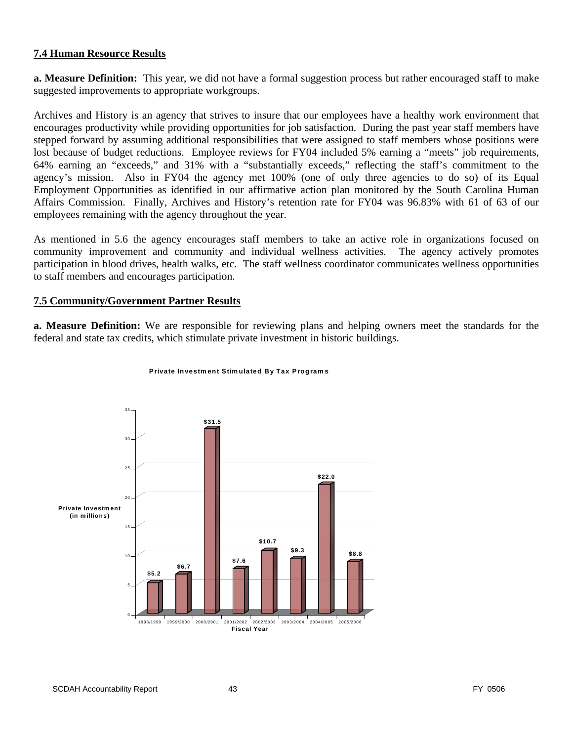#### **7.4 Human Resource Results**

**a. Measure Definition:** This year, we did not have a formal suggestion process but rather encouraged staff to make suggested improvements to appropriate workgroups.

Archives and History is an agency that strives to insure that our employees have a healthy work environment that encourages productivity while providing opportunities for job satisfaction. During the past year staff members have stepped forward by assuming additional responsibilities that were assigned to staff members whose positions were lost because of budget reductions. Employee reviews for FY04 included 5% earning a "meets" job requirements, 64% earning an "exceeds," and 31% with a "substantially exceeds," reflecting the staff's commitment to the agency's mission. Also in FY04 the agency met 100% (one of only three agencies to do so) of its Equal Employment Opportunities as identified in our affirmative action plan monitored by the South Carolina Human Affairs Commission. Finally, Archives and History's retention rate for FY04 was 96.83% with 61 of 63 of our employees remaining with the agency throughout the year.

As mentioned in 5.6 the agency encourages staff members to take an active role in organizations focused on community improvement and community and individual wellness activities. The agency actively promotes participation in blood drives, health walks, etc. The staff wellness coordinator communicates wellness opportunities to staff members and encourages participation.

#### **7.5 Community/Government Partner Results**

**a. Measure Definition:** We are responsible for reviewing plans and helping owners meet the standards for the federal and state tax credits, which stimulate private investment in historic buildings.



#### **Private Investment Stimulated By Tax Programs**

SCDAH Accountability Report 43 And 100 and 200 and 200 and 200 and 200 and 200 and 200 and 200 and 200 and 200 and 200 and 200 and 200 and 200 and 200 and 200 and 200 and 200 and 200 and 200 and 200 and 200 and 200 and 200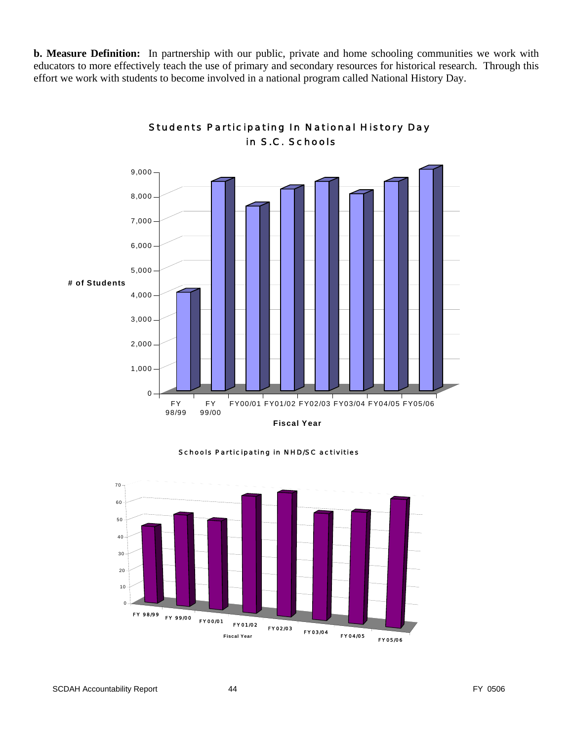**b. Measure Definition:** In partnership with our public, private and home schooling communities we work with educators to more effectively teach the use of primary and secondary resources for historical research. Through this effort we work with students to become involved in a national program called National History Day.



#### Students Participating In National History Day in S.C. Schools

Schools Participating in NHD/SC activities

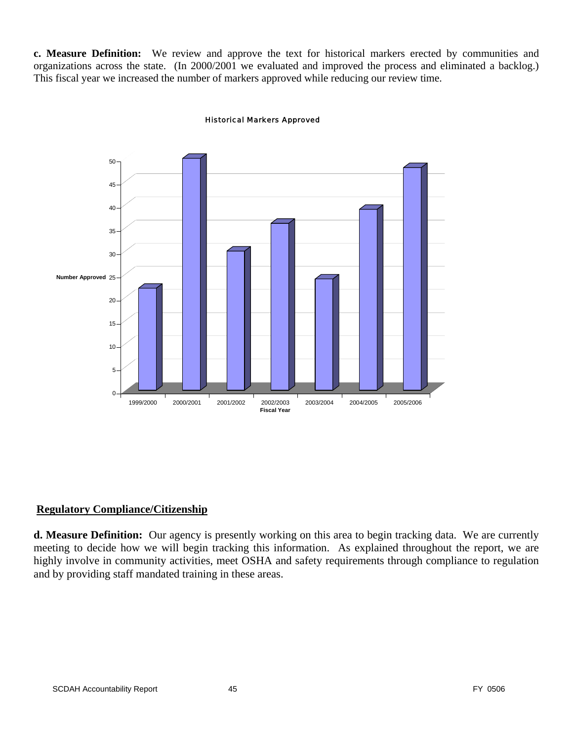**c. Measure Definition:** We review and approve the text for historical markers erected by communities and organizations across the state. (In 2000/2001 we evaluated and improved the process and eliminated a backlog.) This fiscal year we increased the number of markers approved while reducing our review time.



#### Historical Markers Approved

#### **Regulatory Compliance/Citizenship**

**d. Measure Definition:** Our agency is presently working on this area to begin tracking data. We are currently meeting to decide how we will begin tracking this information. As explained throughout the report, we are highly involve in community activities, meet OSHA and safety requirements through compliance to regulation and by providing staff mandated training in these areas.